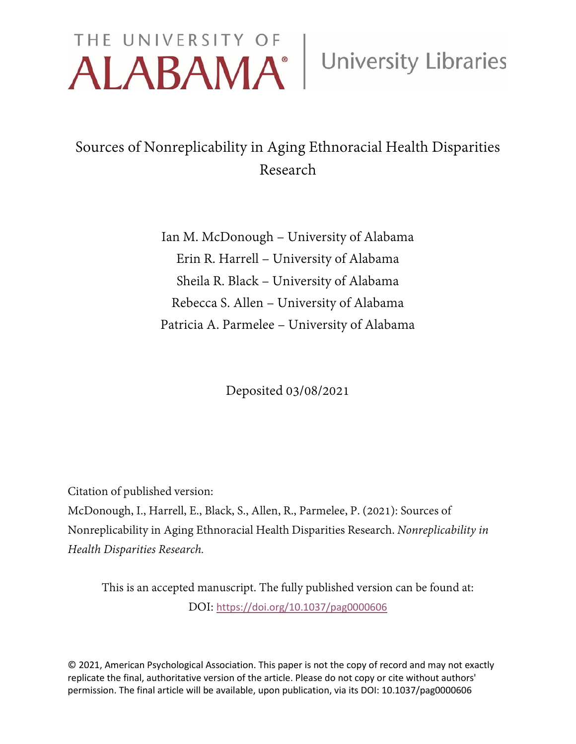# THE UNIVERSITY OF **University Libraries**

# Sources of Nonreplicability in Aging Ethnoracial Health Disparities Research

Ian M. McDonough – University of Alabama Erin R. Harrell – University of Alabama Sheila R. Black – University of Alabama Rebecca S. Allen – University of Alabama Patricia A. Parmelee – University of Alabama

Deposited 03/08/2021

Citation of published version:

McDonough, I., Harrell, E., Black, S., Allen, R., Parmelee, P. (2021): Sources of Nonreplicability in Aging Ethnoracial Health Disparities Research. *Nonreplicability in Health Disparities Research.*

This is an accepted manuscript. The fully published version can be found at: DOI: <https://doi.org/10.1037/pag0000606>

© 2021, American Psychological Association. This paper is not the copy of record and may not exactly replicate the final, authoritative version of the article. Please do not copy or cite without authors' permission. The final article will be available, upon publication, via its DOI: 10.1037/pag0000606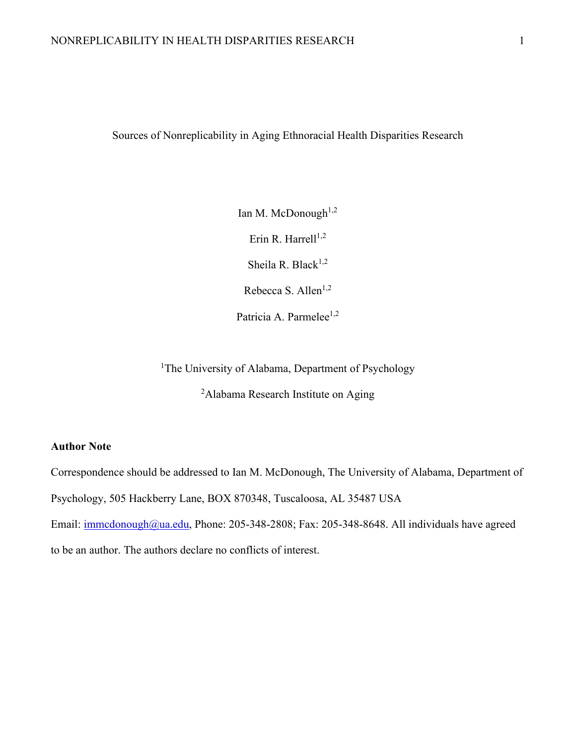Sources of Nonreplicability in Aging Ethnoracial Health Disparities Research

Ian M. McDonough $1,2$ Erin R. Harrell $^{1,2}$ Sheila R. Black<sup>1,2</sup> Rebecca S. Allen<sup>1,2</sup>

Patricia A. Parmelee<sup>1,2</sup>

<sup>1</sup>The University of Alabama, Department of Psychology

<sup>2</sup>Alabama Research Institute on Aging

# **Author Note**

Correspondence should be addressed to Ian M. McDonough, The University of Alabama, Department of

Psychology, 505 Hackberry Lane, BOX 870348, Tuscaloosa, AL 35487 USA

Email: [immcdonough@ua.edu,](mailto:immcdonough@ua.edu) Phone: 205-348-2808; Fax: 205-348-8648. All individuals have agreed

to be an author. The authors declare no conflicts of interest.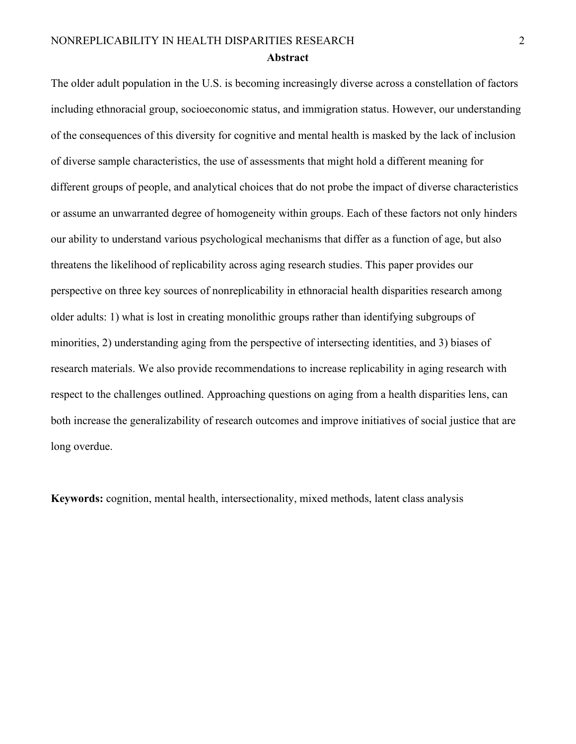The older adult population in the U.S. is becoming increasingly diverse across a constellation of factors including ethnoracial group, socioeconomic status, and immigration status. However, our understanding of the consequences of this diversity for cognitive and mental health is masked by the lack of inclusion of diverse sample characteristics, the use of assessments that might hold a different meaning for different groups of people, and analytical choices that do not probe the impact of diverse characteristics or assume an unwarranted degree of homogeneity within groups. Each of these factors not only hinders our ability to understand various psychological mechanisms that differ as a function of age, but also threatens the likelihood of replicability across aging research studies. This paper provides our perspective on three key sources of nonreplicability in ethnoracial health disparities research among older adults: 1) what is lost in creating monolithic groups rather than identifying subgroups of minorities, 2) understanding aging from the perspective of intersecting identities, and 3) biases of research materials. We also provide recommendations to increase replicability in aging research with respect to the challenges outlined. Approaching questions on aging from a health disparities lens, can both increase the generalizability of research outcomes and improve initiatives of social justice that are long overdue.

**Keywords:** cognition, mental health, intersectionality, mixed methods, latent class analysis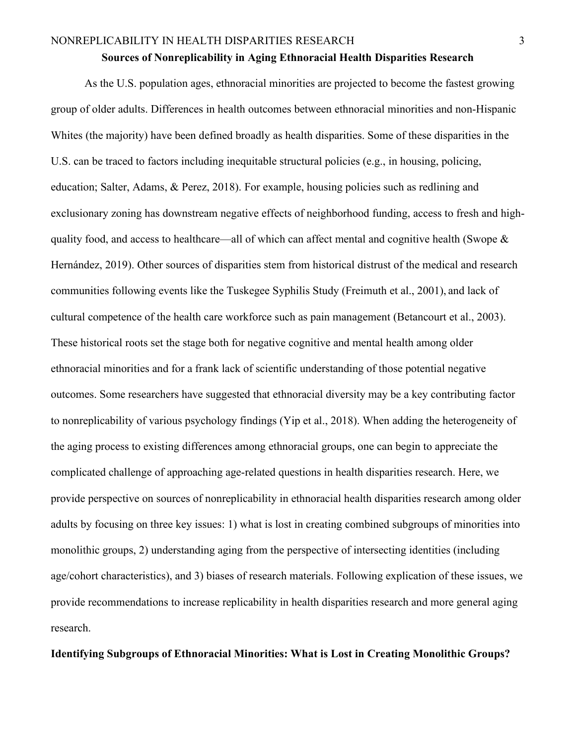#### **Sources of Nonreplicability in Aging Ethnoracial Health Disparities Research**

As the U.S. population ages, ethnoracial minorities are projected to become the fastest growing group of older adults. Differences in health outcomes between ethnoracial minorities and non-Hispanic Whites (the majority) have been defined broadly as health disparities. Some of these disparities in the U.S. can be traced to factors including inequitable structural policies (e.g., in housing, policing, education; Salter, Adams, & Perez, 2018). For example, housing policies such as redlining and exclusionary zoning has downstream negative effects of neighborhood funding, access to fresh and highquality food, and access to healthcare—all of which can affect mental and cognitive health (Swope & Hernández, 2019). Other sources of disparities stem from historical distrust of the medical and research communities following events like the Tuskegee Syphilis Study (Freimuth et al., 2001), and lack of cultural competence of the health care workforce such as pain management (Betancourt et al., 2003). These historical roots set the stage both for negative cognitive and mental health among older ethnoracial minorities and for a frank lack of scientific understanding of those potential negative outcomes. Some researchers have suggested that ethnoracial diversity may be a key contributing factor to nonreplicability of various psychology findings (Yip et al., 2018). When adding the heterogeneity of the aging process to existing differences among ethnoracial groups, one can begin to appreciate the complicated challenge of approaching age-related questions in health disparities research. Here, we provide perspective on sources of nonreplicability in ethnoracial health disparities research among older adults by focusing on three key issues: 1) what is lost in creating combined subgroups of minorities into monolithic groups, 2) understanding aging from the perspective of intersecting identities (including age/cohort characteristics), and 3) biases of research materials. Following explication of these issues, we provide recommendations to increase replicability in health disparities research and more general aging research.

# **Identifying Subgroups of Ethnoracial Minorities: What is Lost in Creating Monolithic Groups?**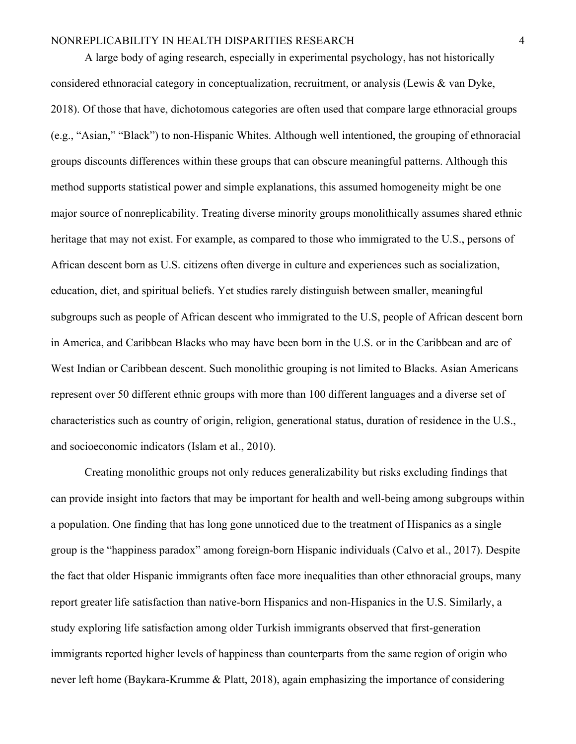A large body of aging research, especially in experimental psychology, has not historically considered ethnoracial category in conceptualization, recruitment, or analysis (Lewis & van Dyke, 2018). Of those that have, dichotomous categories are often used that compare large ethnoracial groups (e.g., "Asian," "Black") to non-Hispanic Whites. Although well intentioned, the grouping of ethnoracial groups discounts differences within these groups that can obscure meaningful patterns. Although this method supports statistical power and simple explanations, this assumed homogeneity might be one major source of nonreplicability. Treating diverse minority groups monolithically assumes shared ethnic heritage that may not exist. For example, as compared to those who immigrated to the U.S., persons of African descent born as U.S. citizens often diverge in culture and experiences such as socialization, education, diet, and spiritual beliefs. Yet studies rarely distinguish between smaller, meaningful subgroups such as people of African descent who immigrated to the U.S, people of African descent born in America, and Caribbean Blacks who may have been born in the U.S. or in the Caribbean and are of West Indian or Caribbean descent. Such monolithic grouping is not limited to Blacks. Asian Americans represent over 50 different ethnic groups with more than 100 different languages and a diverse set of characteristics such as country of origin, religion, generational status, duration of residence in the U.S., and socioeconomic indicators (Islam et al., 2010).

Creating monolithic groups not only reduces generalizability but risks excluding findings that can provide insight into factors that may be important for health and well-being among subgroups within a population. One finding that has long gone unnoticed due to the treatment of Hispanics as a single group is the "happiness paradox" among foreign-born Hispanic individuals (Calvo et al., 2017). Despite the fact that older Hispanic immigrants often face more inequalities than other ethnoracial groups, many report greater life satisfaction than native-born Hispanics and non-Hispanics in the U.S. Similarly, a study exploring life satisfaction among older Turkish immigrants observed that first-generation immigrants reported higher levels of happiness than counterparts from the same region of origin who never left home (Baykara-Krumme & Platt, 2018), again emphasizing the importance of considering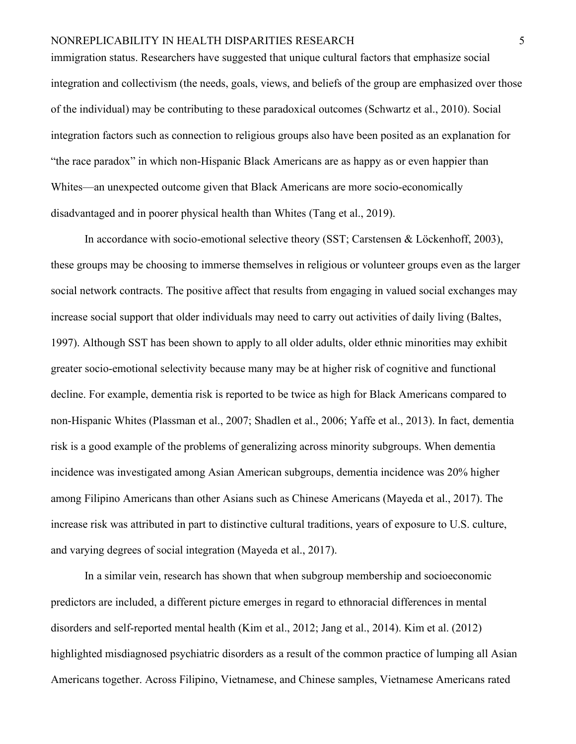immigration status. Researchers have suggested that unique cultural factors that emphasize social integration and collectivism (the needs, goals, views, and beliefs of the group are emphasized over those of the individual) may be contributing to these paradoxical outcomes (Schwartz et al., 2010). Social integration factors such as connection to religious groups also have been posited as an explanation for "the race paradox" in which non-Hispanic Black Americans are as happy as or even happier than Whites—an unexpected outcome given that Black Americans are more socio-economically disadvantaged and in poorer physical health than Whites (Tang et al., 2019).

In accordance with socio-emotional selective theory (SST; Carstensen & Löckenhoff, 2003), these groups may be choosing to immerse themselves in religious or volunteer groups even as the larger social network contracts. The positive affect that results from engaging in valued social exchanges may increase social support that older individuals may need to carry out activities of daily living (Baltes, 1997). Although SST has been shown to apply to all older adults, older ethnic minorities may exhibit greater socio-emotional selectivity because many may be at higher risk of cognitive and functional decline. For example, dementia risk is reported to be twice as high for Black Americans compared to non-Hispanic Whites (Plassman et al., 2007; Shadlen et al., 2006; Yaffe et al., 2013). In fact, dementia risk is a good example of the problems of generalizing across minority subgroups. When dementia incidence was investigated among Asian American subgroups, dementia incidence was 20% higher among Filipino Americans than other Asians such as Chinese Americans (Mayeda et al., 2017). The increase risk was attributed in part to distinctive cultural traditions, years of exposure to U.S. culture, and varying degrees of social integration (Mayeda et al., 2017).

In a similar vein, research has shown that when subgroup membership and socioeconomic predictors are included, a different picture emerges in regard to ethnoracial differences in mental disorders and self-reported mental health (Kim et al., 2012; Jang et al., 2014). Kim et al. (2012) highlighted misdiagnosed psychiatric disorders as a result of the common practice of lumping all Asian Americans together. Across Filipino, Vietnamese, and Chinese samples, Vietnamese Americans rated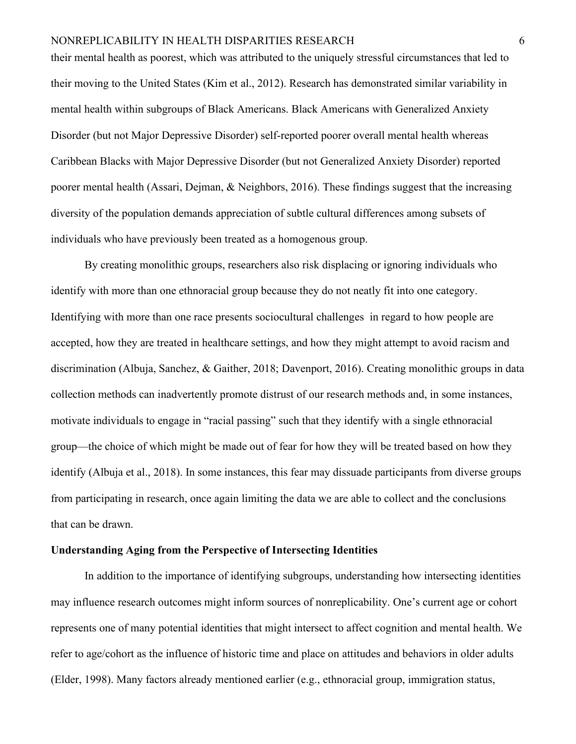their mental health as poorest, which was attributed to the uniquely stressful circumstances that led to their moving to the United States (Kim et al., 2012). Research has demonstrated similar variability in mental health within subgroups of Black Americans. Black Americans with Generalized Anxiety Disorder (but not Major Depressive Disorder) self-reported poorer overall mental health whereas Caribbean Blacks with Major Depressive Disorder (but not Generalized Anxiety Disorder) reported poorer mental health (Assari, Dejman, & Neighbors, 2016). These findings suggest that the increasing diversity of the population demands appreciation of subtle cultural differences among subsets of individuals who have previously been treated as a homogenous group.

By creating monolithic groups, researchers also risk displacing or ignoring individuals who identify with more than one ethnoracial group because they do not neatly fit into one category. Identifying with more than one race presents sociocultural challenges in regard to how people are accepted, how they are treated in healthcare settings, and how they might attempt to avoid racism and discrimination (Albuja, Sanchez, & Gaither, 2018; Davenport, 2016). Creating monolithic groups in data collection methods can inadvertently promote distrust of our research methods and, in some instances, motivate individuals to engage in "racial passing" such that they identify with a single ethnoracial group—the choice of which might be made out of fear for how they will be treated based on how they identify (Albuja et al., 2018). In some instances, this fear may dissuade participants from diverse groups from participating in research, once again limiting the data we are able to collect and the conclusions that can be drawn.

#### **Understanding Aging from the Perspective of Intersecting Identities**

In addition to the importance of identifying subgroups, understanding how intersecting identities may influence research outcomes might inform sources of nonreplicability. One's current age or cohort represents one of many potential identities that might intersect to affect cognition and mental health. We refer to age/cohort as the influence of historic time and place on attitudes and behaviors in older adults (Elder, 1998). Many factors already mentioned earlier (e.g., ethnoracial group, immigration status,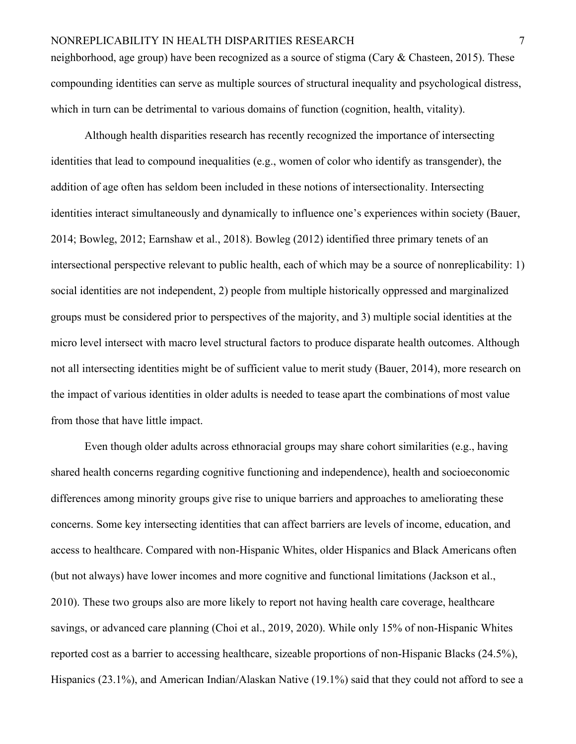neighborhood, age group) have been recognized as a source of stigma (Cary & Chasteen, 2015). These compounding identities can serve as multiple sources of structural inequality and psychological distress, which in turn can be detrimental to various domains of function (cognition, health, vitality).

Although health disparities research has recently recognized the importance of intersecting identities that lead to compound inequalities (e.g., women of color who identify as transgender), the addition of age often has seldom been included in these notions of intersectionality. Intersecting identities interact simultaneously and dynamically to influence one's experiences within society (Bauer, 2014; Bowleg, 2012; Earnshaw et al., 2018). Bowleg (2012) identified three primary tenets of an intersectional perspective relevant to public health, each of which may be a source of nonreplicability: 1) social identities are not independent, 2) people from multiple historically oppressed and marginalized groups must be considered prior to perspectives of the majority, and 3) multiple social identities at the micro level intersect with macro level structural factors to produce disparate health outcomes. Although not all intersecting identities might be of sufficient value to merit study (Bauer, 2014), more research on the impact of various identities in older adults is needed to tease apart the combinations of most value from those that have little impact.

Even though older adults across ethnoracial groups may share cohort similarities (e.g., having shared health concerns regarding cognitive functioning and independence), health and socioeconomic differences among minority groups give rise to unique barriers and approaches to ameliorating these concerns. Some key intersecting identities that can affect barriers are levels of income, education, and access to healthcare. Compared with non-Hispanic Whites, older Hispanics and Black Americans often (but not always) have lower incomes and more cognitive and functional limitations (Jackson et al., 2010). These two groups also are more likely to report not having health care coverage, healthcare savings, or advanced care planning (Choi et al., 2019, 2020). While only 15% of non-Hispanic Whites reported cost as a barrier to accessing healthcare, sizeable proportions of non-Hispanic Blacks (24.5%), Hispanics (23.1%), and American Indian/Alaskan Native (19.1%) said that they could not afford to see a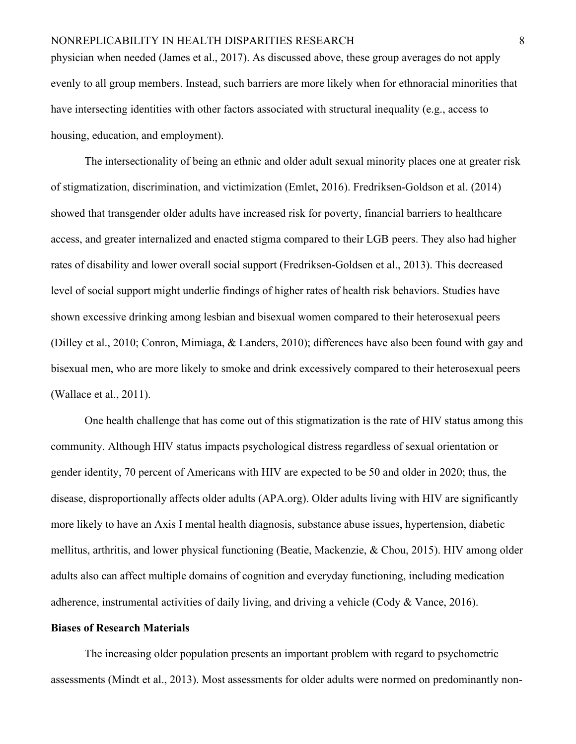physician when needed (James et al., 2017). As discussed above, these group averages do not apply evenly to all group members. Instead, such barriers are more likely when for ethnoracial minorities that have intersecting identities with other factors associated with structural inequality (e.g., access to housing, education, and employment).

The intersectionality of being an ethnic and older adult sexual minority places one at greater risk of stigmatization, discrimination, and victimization (Emlet, 2016). Fredriksen-Goldson et al. (2014) showed that transgender older adults have increased risk for poverty, financial barriers to healthcare access, and greater internalized and enacted stigma compared to their LGB peers. They also had higher rates of disability and lower overall social support (Fredriksen-Goldsen et al., 2013). This decreased level of social support might underlie findings of higher rates of health risk behaviors. Studies have shown excessive drinking among lesbian and bisexual women compared to their heterosexual peers (Dilley et al., 2010; Conron, Mimiaga, & Landers, 2010); differences have also been found with gay and bisexual men, who are more likely to smoke and drink excessively compared to their heterosexual peers (Wallace et al., 2011).

One health challenge that has come out of this stigmatization is the rate of HIV status among this community. Although HIV status impacts psychological distress regardless of sexual orientation or gender identity, 70 percent of Americans with HIV are expected to be 50 and older in 2020; thus, the disease, disproportionally affects older adults (APA.org). Older adults living with HIV are significantly more likely to have an Axis I mental health diagnosis, substance abuse issues, hypertension, diabetic mellitus, arthritis, and lower physical functioning (Beatie, Mackenzie, & Chou, 2015). HIV among older adults also can affect multiple domains of cognition and everyday functioning, including medication adherence, instrumental activities of daily living, and driving a vehicle (Cody & Vance, 2016).

#### **Biases of Research Materials**

The increasing older population presents an important problem with regard to psychometric assessments (Mindt et al., 2013). Most assessments for older adults were normed on predominantly non-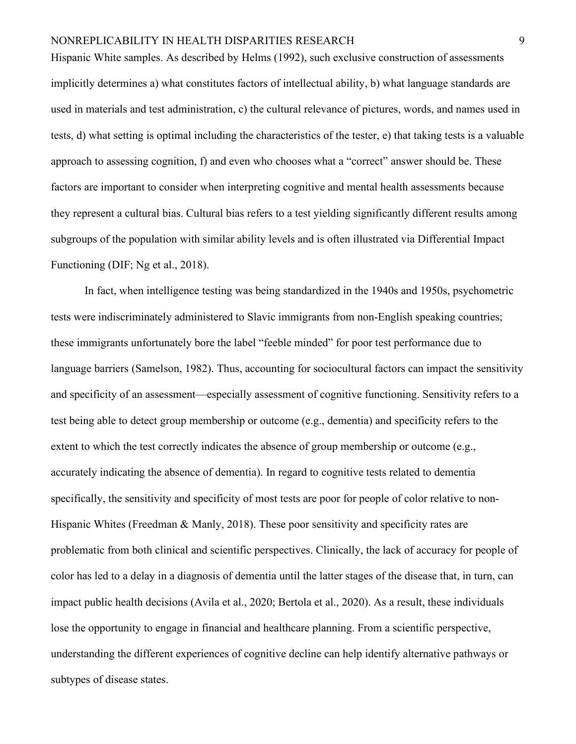Hispanic White samples. As described by Helms (1992), such exclusive construction of assessments implicitly determines a) what constitutes factors of intellectual ability, b) what language standards are used in materials and test administration, c) the cultural relevance of pictures, words, and names used in tests, d) what setting is optimal including the characteristics of the tester, e) that taking tests is a valuable approach to assessing cognition, f) and even who chooses what a "correct" answer should be. These factors are important to consider when interpreting cognitive and mental health assessments because they represent a cultural bias. Cultural bias refers to a test yielding significantly different results among subgroups of the population with similar ability levels and is often illustrated via Differential Impact Functioning (DIF; Ng et al., 2018).

In fact, when intelligence testing was being standardized in the 1940s and 1950s, psychometric tests were indiscriminately administered to Slavic immigrants from non-English speaking countries; these immigrants unfortunately bore the label "feeble minded" for poor test performance due to language barriers (Samelson, 1982). Thus, accounting for sociocultural factors can impact the sensitivity and specificity of an assessment—especially assessment of cognitive functioning. Sensitivity refers to a test being able to detect group membership or outcome (e.g., dementia) and specificity refers to the extent to which the test correctly indicates the absence of group membership or outcome (e.g., accurately indicating the absence of dementia). In regard to cognitive tests related to dementia specifically, the sensitivity and specificity of most tests are poor for people of color relative to non-Hispanic Whites (Freedman & Manly, 2018). These poor sensitivity and specificity rates are problematic from both clinical and scientific perspectives. Clinically, the lack of accuracy for people of color has led to a delay in a diagnosis of dementia until the latter stages of the disease that, in turn, can impact public health decisions (Avila et al., 2020; Bertola et al., 2020). As a result, these individuals lose the opportunity to engage in financial and healthcare planning. From a scientific perspective, understanding the different experiences of cognitive decline can help identify alternative pathways or subtypes of disease states.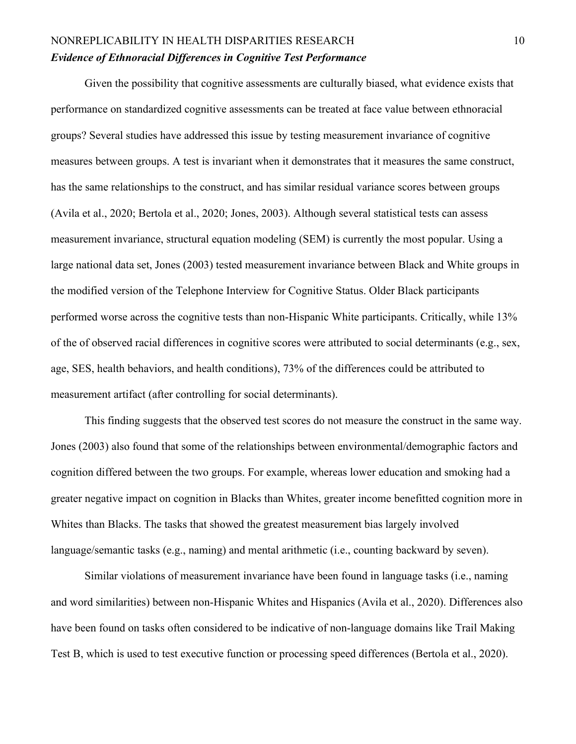# NONREPLICABILITY IN HEALTH DISPARITIES RESEARCH 10 *Evidence of Ethnoracial Differences in Cognitive Test Performance*

Given the possibility that cognitive assessments are culturally biased, what evidence exists that performance on standardized cognitive assessments can be treated at face value between ethnoracial groups? Several studies have addressed this issue by testing measurement invariance of cognitive measures between groups. A test is invariant when it demonstrates that it measures the same construct, has the same relationships to the construct, and has similar residual variance scores between groups (Avila et al., 2020; Bertola et al., 2020; Jones, 2003). Although several statistical tests can assess measurement invariance, structural equation modeling (SEM) is currently the most popular. Using a large national data set, Jones (2003) tested measurement invariance between Black and White groups in the modified version of the Telephone Interview for Cognitive Status. Older Black participants performed worse across the cognitive tests than non-Hispanic White participants. Critically, while 13% of the of observed racial differences in cognitive scores were attributed to social determinants (e.g., sex, age, SES, health behaviors, and health conditions), 73% of the differences could be attributed to measurement artifact (after controlling for social determinants).

This finding suggests that the observed test scores do not measure the construct in the same way. Jones (2003) also found that some of the relationships between environmental/demographic factors and cognition differed between the two groups. For example, whereas lower education and smoking had a greater negative impact on cognition in Blacks than Whites, greater income benefitted cognition more in Whites than Blacks. The tasks that showed the greatest measurement bias largely involved language/semantic tasks (e.g., naming) and mental arithmetic (i.e., counting backward by seven).

Similar violations of measurement invariance have been found in language tasks (i.e., naming and word similarities) between non-Hispanic Whites and Hispanics (Avila et al., 2020). Differences also have been found on tasks often considered to be indicative of non-language domains like Trail Making Test B, which is used to test executive function or processing speed differences (Bertola et al., 2020).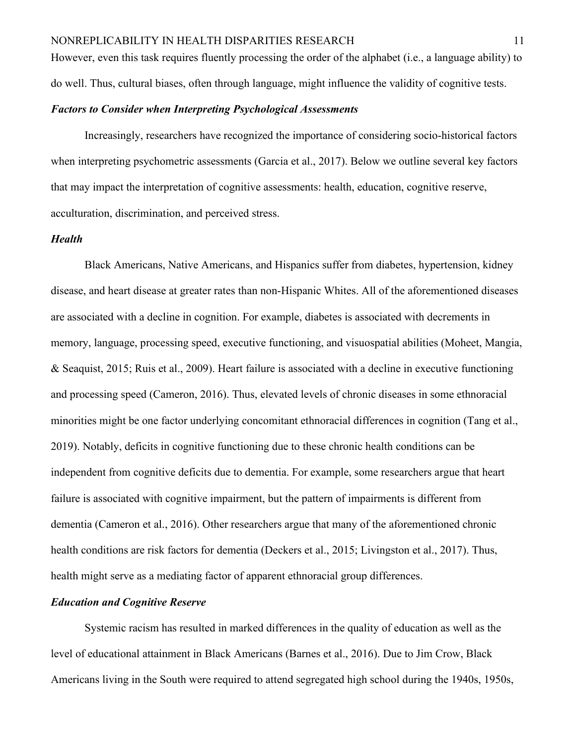However, even this task requires fluently processing the order of the alphabet (i.e., a language ability) to do well. Thus, cultural biases, often through language, might influence the validity of cognitive tests.

# *Factors to Consider when Interpreting Psychological Assessments*

Increasingly, researchers have recognized the importance of considering socio-historical factors when interpreting psychometric assessments (Garcia et al., 2017). Below we outline several key factors that may impact the interpretation of cognitive assessments: health, education, cognitive reserve, acculturation, discrimination, and perceived stress.

## *Health*

Black Americans, Native Americans, and Hispanics suffer from diabetes, hypertension, kidney disease, and heart disease at greater rates than non-Hispanic Whites. All of the aforementioned diseases are associated with a decline in cognition. For example, diabetes is associated with decrements in memory, language, processing speed, executive functioning, and visuospatial abilities (Moheet, Mangia, & Seaquist, 2015; Ruis et al., 2009). Heart failure is associated with a decline in executive functioning and processing speed (Cameron, 2016). Thus, elevated levels of chronic diseases in some ethnoracial minorities might be one factor underlying concomitant ethnoracial differences in cognition (Tang et al., 2019). Notably, deficits in cognitive functioning due to these chronic health conditions can be independent from cognitive deficits due to dementia. For example, some researchers argue that heart failure is associated with cognitive impairment, but the pattern of impairments is different from dementia (Cameron et al., 2016). Other researchers argue that many of the aforementioned chronic health conditions are risk factors for dementia (Deckers et al., 2015; Livingston et al., 2017). Thus, health might serve as a mediating factor of apparent ethnoracial group differences.

# *Education and Cognitive Reserve*

Systemic racism has resulted in marked differences in the quality of education as well as the level of educational attainment in Black Americans (Barnes et al., 2016). Due to Jim Crow, Black Americans living in the South were required to attend segregated high school during the 1940s, 1950s,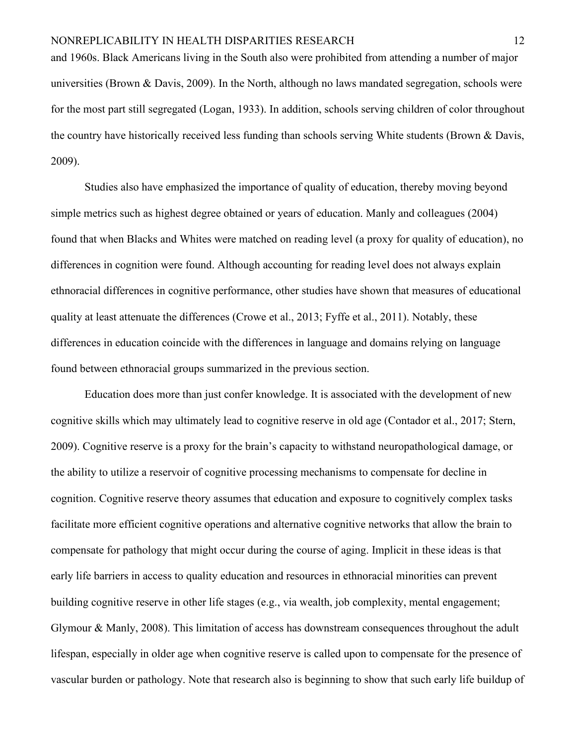and 1960s. Black Americans living in the South also were prohibited from attending a number of major universities (Brown & Davis, 2009). In the North, although no laws mandated segregation, schools were for the most part still segregated (Logan, 1933). In addition, schools serving children of color throughout the country have historically received less funding than schools serving White students (Brown & Davis, 2009).

Studies also have emphasized the importance of quality of education, thereby moving beyond simple metrics such as highest degree obtained or years of education. Manly and colleagues (2004) found that when Blacks and Whites were matched on reading level (a proxy for quality of education), no differences in cognition were found. Although accounting for reading level does not always explain ethnoracial differences in cognitive performance, other studies have shown that measures of educational quality at least attenuate the differences (Crowe et al., 2013; Fyffe et al., 2011). Notably, these differences in education coincide with the differences in language and domains relying on language found between ethnoracial groups summarized in the previous section.

Education does more than just confer knowledge. It is associated with the development of new cognitive skills which may ultimately lead to cognitive reserve in old age (Contador et al., 2017; Stern, 2009). Cognitive reserve is a proxy for the brain's capacity to withstand neuropathological damage, or the ability to utilize a reservoir of cognitive processing mechanisms to compensate for decline in cognition. Cognitive reserve theory assumes that education and exposure to cognitively complex tasks facilitate more efficient cognitive operations and alternative cognitive networks that allow the brain to compensate for pathology that might occur during the course of aging. Implicit in these ideas is that early life barriers in access to quality education and resources in ethnoracial minorities can prevent building cognitive reserve in other life stages (e.g., via wealth, job complexity, mental engagement; Glymour & Manly, 2008). This limitation of access has downstream consequences throughout the adult lifespan, especially in older age when cognitive reserve is called upon to compensate for the presence of vascular burden or pathology. Note that research also is beginning to show that such early life buildup of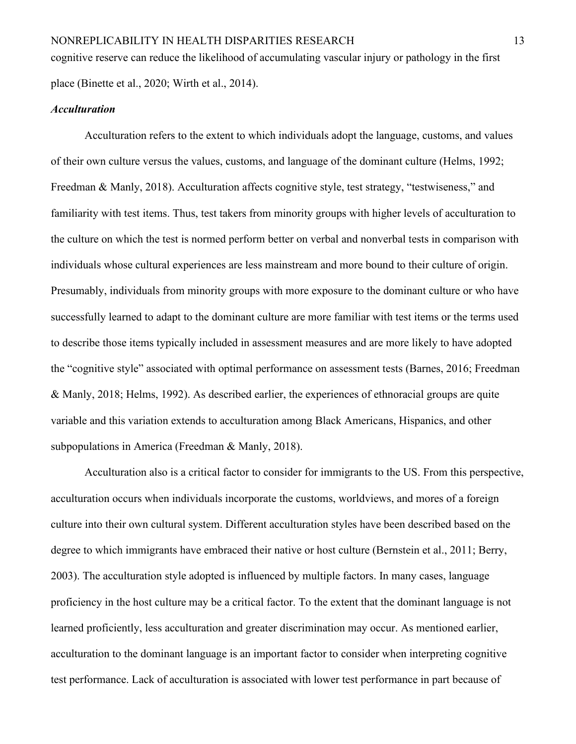cognitive reserve can reduce the likelihood of accumulating vascular injury or pathology in the first place (Binette et al., 2020; Wirth et al., 2014).

# *Acculturation*

Acculturation refers to the extent to which individuals adopt the language, customs, and values of their own culture versus the values, customs, and language of the dominant culture (Helms, 1992; Freedman & Manly, 2018). Acculturation affects cognitive style, test strategy, "testwiseness," and familiarity with test items. Thus, test takers from minority groups with higher levels of acculturation to the culture on which the test is normed perform better on verbal and nonverbal tests in comparison with individuals whose cultural experiences are less mainstream and more bound to their culture of origin. Presumably, individuals from minority groups with more exposure to the dominant culture or who have successfully learned to adapt to the dominant culture are more familiar with test items or the terms used to describe those items typically included in assessment measures and are more likely to have adopted the "cognitive style" associated with optimal performance on assessment tests (Barnes, 2016; Freedman & Manly, 2018; Helms, 1992). As described earlier, the experiences of ethnoracial groups are quite variable and this variation extends to acculturation among Black Americans, Hispanics, and other subpopulations in America (Freedman & Manly, 2018).

Acculturation also is a critical factor to consider for immigrants to the US. From this perspective, acculturation occurs when individuals incorporate the customs, worldviews, and mores of a foreign culture into their own cultural system. Different acculturation styles have been described based on the degree to which immigrants have embraced their native or host culture (Bernstein et al., 2011; Berry, 2003). The acculturation style adopted is influenced by multiple factors. In many cases, language proficiency in the host culture may be a critical factor. To the extent that the dominant language is not learned proficiently, less acculturation and greater discrimination may occur. As mentioned earlier, acculturation to the dominant language is an important factor to consider when interpreting cognitive test performance. Lack of acculturation is associated with lower test performance in part because of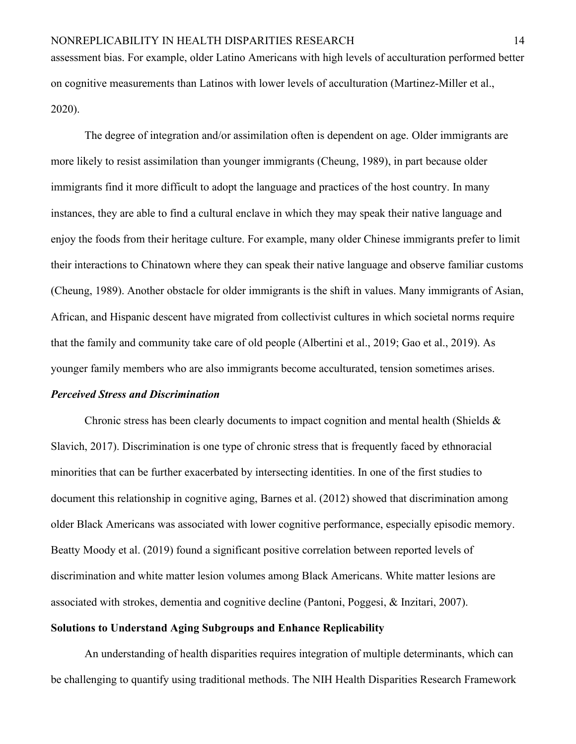assessment bias. For example, older Latino Americans with high levels of acculturation performed better on cognitive measurements than Latinos with lower levels of acculturation (Martinez-Miller et al., 2020).

The degree of integration and/or assimilation often is dependent on age. Older immigrants are more likely to resist assimilation than younger immigrants (Cheung, 1989), in part because older immigrants find it more difficult to adopt the language and practices of the host country. In many instances, they are able to find a cultural enclave in which they may speak their native language and enjoy the foods from their heritage culture. For example, many older Chinese immigrants prefer to limit their interactions to Chinatown where they can speak their native language and observe familiar customs (Cheung, 1989). Another obstacle for older immigrants is the shift in values. Many immigrants of Asian, African, and Hispanic descent have migrated from collectivist cultures in which societal norms require that the family and community take care of old people (Albertini et al., 2019; Gao et al., 2019). As younger family members who are also immigrants become acculturated, tension sometimes arises.

#### *Perceived Stress and Discrimination*

Chronic stress has been clearly documents to impact cognition and mental health (Shields  $\&$ Slavich, 2017). Discrimination is one type of chronic stress that is frequently faced by ethnoracial minorities that can be further exacerbated by intersecting identities. In one of the first studies to document this relationship in cognitive aging, Barnes et al. (2012) showed that discrimination among older Black Americans was associated with lower cognitive performance, especially episodic memory. Beatty Moody et al. (2019) found a significant positive correlation between reported levels of discrimination and white matter lesion volumes among Black Americans. White matter lesions are associated with strokes, dementia and cognitive decline (Pantoni, Poggesi, & Inzitari, 2007). **Solutions to Understand Aging Subgroups and Enhance Replicability**

An understanding of health disparities requires integration of multiple determinants, which can be challenging to quantify using traditional methods. The NIH Health Disparities Research Framework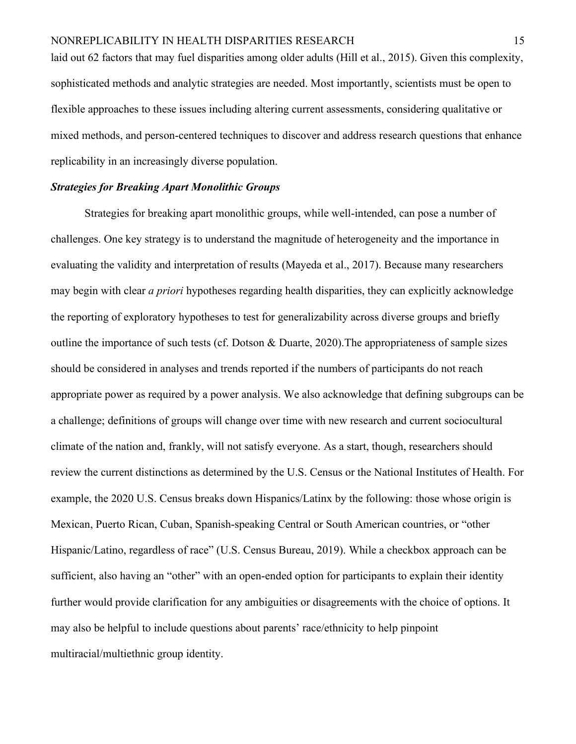laid out 62 factors that may fuel disparities among older adults (Hill et al., 2015). Given this complexity, sophisticated methods and analytic strategies are needed. Most importantly, scientists must be open to flexible approaches to these issues including altering current assessments, considering qualitative or mixed methods, and person-centered techniques to discover and address research questions that enhance replicability in an increasingly diverse population.

# *Strategies for Breaking Apart Monolithic Groups*

Strategies for breaking apart monolithic groups, while well-intended, can pose a number of challenges. One key strategy is to understand the magnitude of heterogeneity and the importance in evaluating the validity and interpretation of results (Mayeda et al., 2017). Because many researchers may begin with clear *a priori* hypotheses regarding health disparities, they can explicitly acknowledge the reporting of exploratory hypotheses to test for generalizability across diverse groups and briefly outline the importance of such tests (cf. Dotson & Duarte, 2020).The appropriateness of sample sizes should be considered in analyses and trends reported if the numbers of participants do not reach appropriate power as required by a power analysis. We also acknowledge that defining subgroups can be a challenge; definitions of groups will change over time with new research and current sociocultural climate of the nation and, frankly, will not satisfy everyone. As a start, though, researchers should review the current distinctions as determined by the U.S. Census or the National Institutes of Health. For example, the 2020 U.S. Census breaks down Hispanics/Latinx by the following: those whose origin is Mexican, Puerto Rican, Cuban, Spanish-speaking Central or South American countries, or "other Hispanic/Latino, regardless of race" (U.S. Census Bureau, 2019). While a checkbox approach can be sufficient, also having an "other" with an open-ended option for participants to explain their identity further would provide clarification for any ambiguities or disagreements with the choice of options. It may also be helpful to include questions about parents' race/ethnicity to help pinpoint multiracial/multiethnic group identity.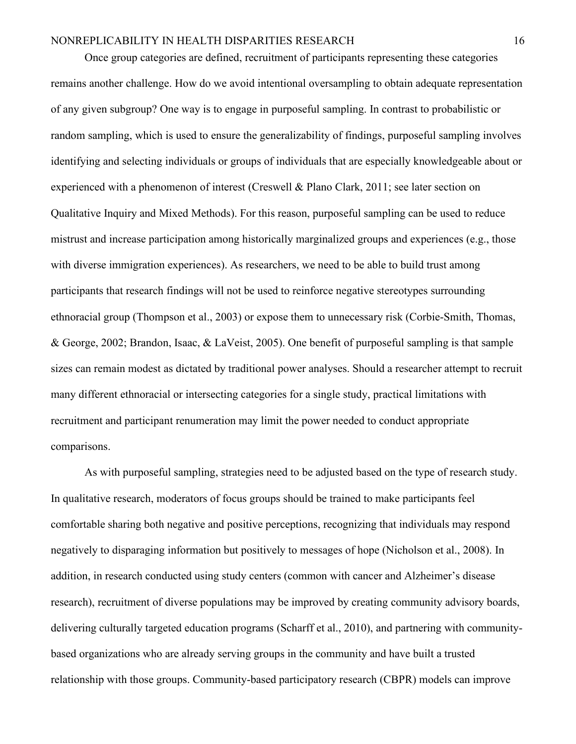Once group categories are defined, recruitment of participants representing these categories remains another challenge. How do we avoid intentional oversampling to obtain adequate representation of any given subgroup? One way is to engage in purposeful sampling. In contrast to probabilistic or random sampling, which is used to ensure the generalizability of findings, purposeful sampling involves identifying and selecting individuals or groups of individuals that are especially knowledgeable about or experienced with a phenomenon of interest (Creswell & Plano Clark, 2011; see later section on Qualitative Inquiry and Mixed Methods). For this reason, purposeful sampling can be used to reduce mistrust and increase participation among historically marginalized groups and experiences (e.g., those with diverse immigration experiences). As researchers, we need to be able to build trust among participants that research findings will not be used to reinforce negative stereotypes surrounding ethnoracial group (Thompson et al., 2003) or expose them to unnecessary risk (Corbie-Smith, Thomas, & George, 2002; Brandon, Isaac, & LaVeist, 2005). One benefit of purposeful sampling is that sample sizes can remain modest as dictated by traditional power analyses. Should a researcher attempt to recruit many different ethnoracial or intersecting categories for a single study, practical limitations with recruitment and participant renumeration may limit the power needed to conduct appropriate comparisons.

As with purposeful sampling, strategies need to be adjusted based on the type of research study. In qualitative research, moderators of focus groups should be trained to make participants feel comfortable sharing both negative and positive perceptions, recognizing that individuals may respond negatively to disparaging information but positively to messages of hope (Nicholson et al., 2008). In addition, in research conducted using study centers (common with cancer and Alzheimer's disease research), recruitment of diverse populations may be improved by creating community advisory boards, delivering culturally targeted education programs (Scharff et al., 2010), and partnering with communitybased organizations who are already serving groups in the community and have built a trusted relationship with those groups. Community-based participatory research (CBPR) models can improve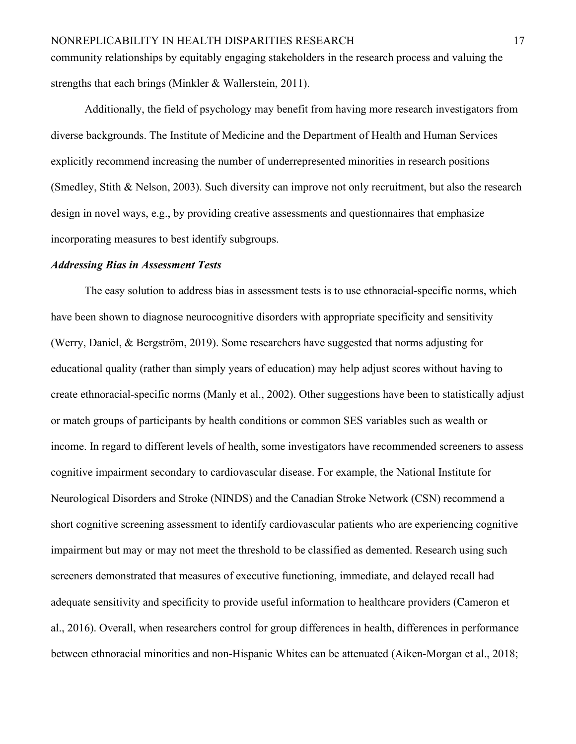community relationships by equitably engaging stakeholders in the research process and valuing the strengths that each brings (Minkler & Wallerstein, 2011).

Additionally, the field of psychology may benefit from having more research investigators from diverse backgrounds. The Institute of Medicine and the Department of Health and Human Services explicitly recommend increasing the number of underrepresented minorities in research positions (Smedley, Stith & Nelson, 2003). Such diversity can improve not only recruitment, but also the research design in novel ways, e.g., by providing creative assessments and questionnaires that emphasize incorporating measures to best identify subgroups.

#### *Addressing Bias in Assessment Tests*

The easy solution to address bias in assessment tests is to use ethnoracial-specific norms, which have been shown to diagnose neurocognitive disorders with appropriate specificity and sensitivity (Werry, Daniel, & Bergström, 2019). Some researchers have suggested that norms adjusting for educational quality (rather than simply years of education) may help adjust scores without having to create ethnoracial-specific norms (Manly et al., 2002). Other suggestions have been to statistically adjust or match groups of participants by health conditions or common SES variables such as wealth or income. In regard to different levels of health, some investigators have recommended screeners to assess cognitive impairment secondary to cardiovascular disease. For example, the National Institute for Neurological Disorders and Stroke (NINDS) and the Canadian Stroke Network (CSN) recommend a short cognitive screening assessment to identify cardiovascular patients who are experiencing cognitive impairment but may or may not meet the threshold to be classified as demented. Research using such screeners demonstrated that measures of executive functioning, immediate, and delayed recall had adequate sensitivity and specificity to provide useful information to healthcare providers (Cameron et al., 2016). Overall, when researchers control for group differences in health, differences in performance between ethnoracial minorities and non-Hispanic Whites can be attenuated (Aiken-Morgan et al., 2018;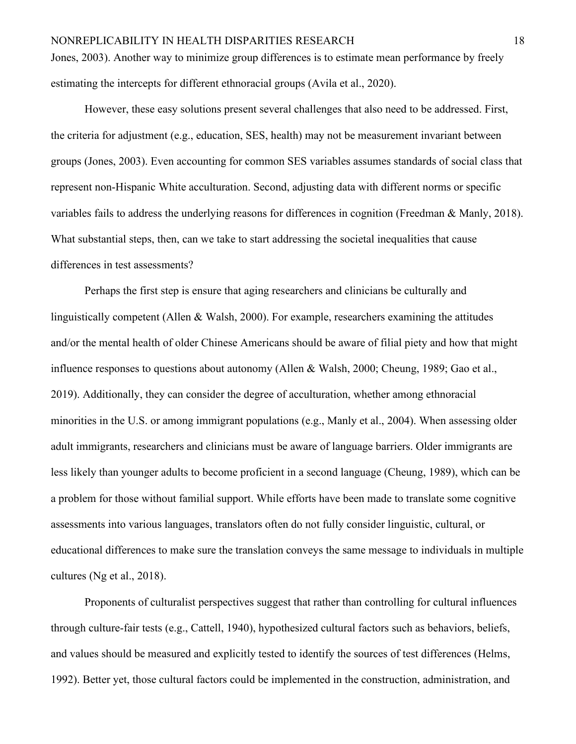Jones, 2003). Another way to minimize group differences is to estimate mean performance by freely estimating the intercepts for different ethnoracial groups (Avila et al., 2020).

However, these easy solutions present several challenges that also need to be addressed. First, the criteria for adjustment (e.g., education, SES, health) may not be measurement invariant between groups (Jones, 2003). Even accounting for common SES variables assumes standards of social class that represent non-Hispanic White acculturation. Second, adjusting data with different norms or specific variables fails to address the underlying reasons for differences in cognition (Freedman & Manly, 2018). What substantial steps, then, can we take to start addressing the societal inequalities that cause differences in test assessments?

Perhaps the first step is ensure that aging researchers and clinicians be culturally and linguistically competent (Allen & Walsh, 2000). For example, researchers examining the attitudes and/or the mental health of older Chinese Americans should be aware of filial piety and how that might influence responses to questions about autonomy (Allen & Walsh, 2000; Cheung, 1989; Gao et al., 2019). Additionally, they can consider the degree of acculturation, whether among ethnoracial minorities in the U.S. or among immigrant populations (e.g., Manly et al., 2004). When assessing older adult immigrants, researchers and clinicians must be aware of language barriers. Older immigrants are less likely than younger adults to become proficient in a second language (Cheung, 1989), which can be a problem for those without familial support. While efforts have been made to translate some cognitive assessments into various languages, translators often do not fully consider linguistic, cultural, or educational differences to make sure the translation conveys the same message to individuals in multiple cultures (Ng et al., 2018).

Proponents of culturalist perspectives suggest that rather than controlling for cultural influences through culture-fair tests (e.g., Cattell, 1940), hypothesized cultural factors such as behaviors, beliefs, and values should be measured and explicitly tested to identify the sources of test differences (Helms, 1992). Better yet, those cultural factors could be implemented in the construction, administration, and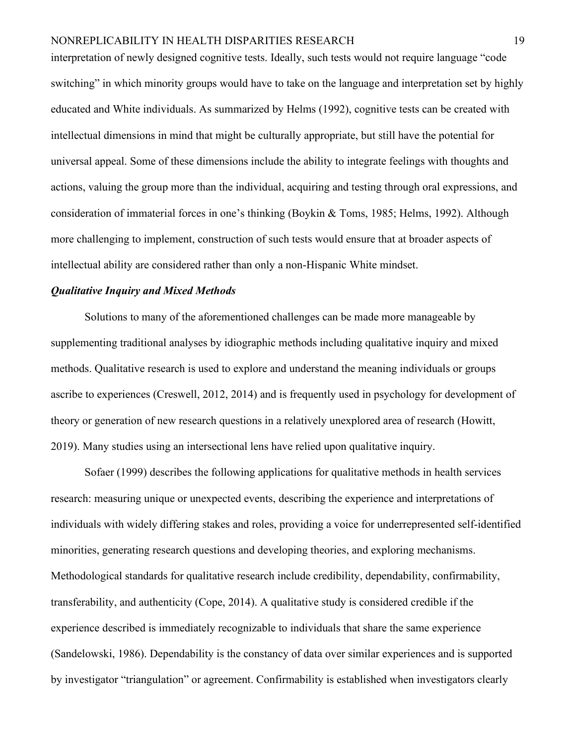interpretation of newly designed cognitive tests. Ideally, such tests would not require language "code switching" in which minority groups would have to take on the language and interpretation set by highly educated and White individuals. As summarized by Helms (1992), cognitive tests can be created with intellectual dimensions in mind that might be culturally appropriate, but still have the potential for universal appeal. Some of these dimensions include the ability to integrate feelings with thoughts and actions, valuing the group more than the individual, acquiring and testing through oral expressions, and consideration of immaterial forces in one's thinking (Boykin & Toms, 1985; Helms, 1992). Although more challenging to implement, construction of such tests would ensure that at broader aspects of intellectual ability are considered rather than only a non-Hispanic White mindset.

# *Qualitative Inquiry and Mixed Methods*

Solutions to many of the aforementioned challenges can be made more manageable by supplementing traditional analyses by idiographic methods including qualitative inquiry and mixed methods. Qualitative research is used to explore and understand the meaning individuals or groups ascribe to experiences (Creswell, 2012, 2014) and is frequently used in psychology for development of theory or generation of new research questions in a relatively unexplored area of research (Howitt, 2019). Many studies using an intersectional lens have relied upon qualitative inquiry.

Sofaer (1999) describes the following applications for qualitative methods in health services research: measuring unique or unexpected events, describing the experience and interpretations of individuals with widely differing stakes and roles, providing a voice for underrepresented self-identified minorities, generating research questions and developing theories, and exploring mechanisms. Methodological standards for qualitative research include credibility, dependability, confirmability, transferability, and authenticity (Cope, 2014). A qualitative study is considered credible if the experience described is immediately recognizable to individuals that share the same experience (Sandelowski, 1986). Dependability is the constancy of data over similar experiences and is supported by investigator "triangulation" or agreement. Confirmability is established when investigators clearly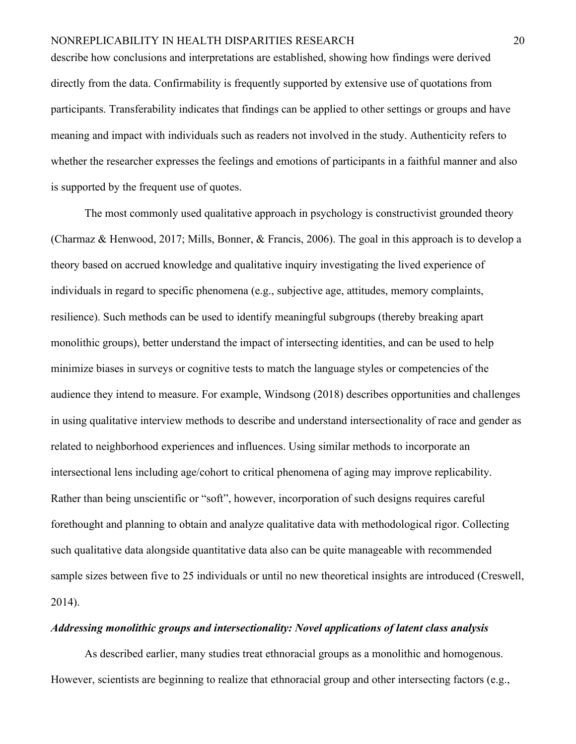describe how conclusions and interpretations are established, showing how findings were derived directly from the data. Confirmability is frequently supported by extensive use of quotations from participants. Transferability indicates that findings can be applied to other settings or groups and have meaning and impact with individuals such as readers not involved in the study. Authenticity refers to whether the researcher expresses the feelings and emotions of participants in a faithful manner and also is supported by the frequent use of quotes.

The most commonly used qualitative approach in psychology is constructivist grounded theory (Charmaz & Henwood, 2017; Mills, Bonner, & Francis, 2006). The goal in this approach is to develop a theory based on accrued knowledge and qualitative inquiry investigating the lived experience of individuals in regard to specific phenomena (e.g., subjective age, attitudes, memory complaints, resilience). Such methods can be used to identify meaningful subgroups (thereby breaking apart monolithic groups), better understand the impact of intersecting identities, and can be used to help minimize biases in surveys or cognitive tests to match the language styles or competencies of the audience they intend to measure. For example, Windsong (2018) describes opportunities and challenges in using qualitative interview methods to describe and understand intersectionality of race and gender as related to neighborhood experiences and influences. Using similar methods to incorporate an intersectional lens including age/cohort to critical phenomena of aging may improve replicability. Rather than being unscientific or "soft", however, incorporation of such designs requires careful forethought and planning to obtain and analyze qualitative data with methodological rigor. Collecting such qualitative data alongside quantitative data also can be quite manageable with recommended sample sizes between five to 25 individuals or until no new theoretical insights are introduced (Creswell, 2014).

#### *Addressing monolithic groups and intersectionality: Novel applications of latent class analysis*

As described earlier, many studies treat ethnoracial groups as a monolithic and homogenous. However, scientists are beginning to realize that ethnoracial group and other intersecting factors (e.g.,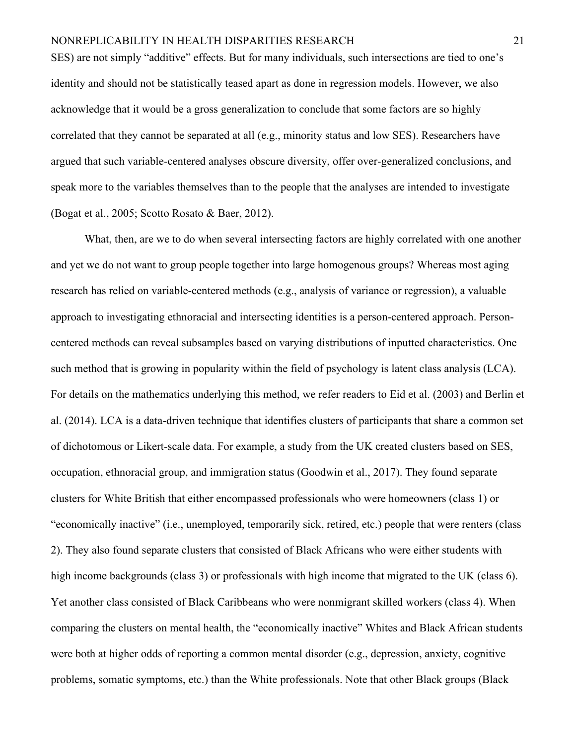SES) are not simply "additive" effects. But for many individuals, such intersections are tied to one's identity and should not be statistically teased apart as done in regression models. However, we also acknowledge that it would be a gross generalization to conclude that some factors are so highly correlated that they cannot be separated at all (e.g., minority status and low SES). Researchers have argued that such variable-centered analyses obscure diversity, offer over-generalized conclusions, and speak more to the variables themselves than to the people that the analyses are intended to investigate (Bogat et al., 2005; Scotto Rosato & Baer, 2012).

What, then, are we to do when several intersecting factors are highly correlated with one another and yet we do not want to group people together into large homogenous groups? Whereas most aging research has relied on variable-centered methods (e.g., analysis of variance or regression), a valuable approach to investigating ethnoracial and intersecting identities is a person-centered approach. Personcentered methods can reveal subsamples based on varying distributions of inputted characteristics. One such method that is growing in popularity within the field of psychology is latent class analysis (LCA). For details on the mathematics underlying this method, we refer readers to Eid et al. (2003) and Berlin et al. (2014). LCA is a data-driven technique that identifies clusters of participants that share a common set of dichotomous or Likert-scale data. For example, a study from the UK created clusters based on SES, occupation, ethnoracial group, and immigration status (Goodwin et al., 2017). They found separate clusters for White British that either encompassed professionals who were homeowners (class 1) or "economically inactive" (i.e., unemployed, temporarily sick, retired, etc.) people that were renters (class 2). They also found separate clusters that consisted of Black Africans who were either students with high income backgrounds (class 3) or professionals with high income that migrated to the UK (class 6). Yet another class consisted of Black Caribbeans who were nonmigrant skilled workers (class 4). When comparing the clusters on mental health, the "economically inactive" Whites and Black African students were both at higher odds of reporting a common mental disorder (e.g., depression, anxiety, cognitive problems, somatic symptoms, etc.) than the White professionals. Note that other Black groups (Black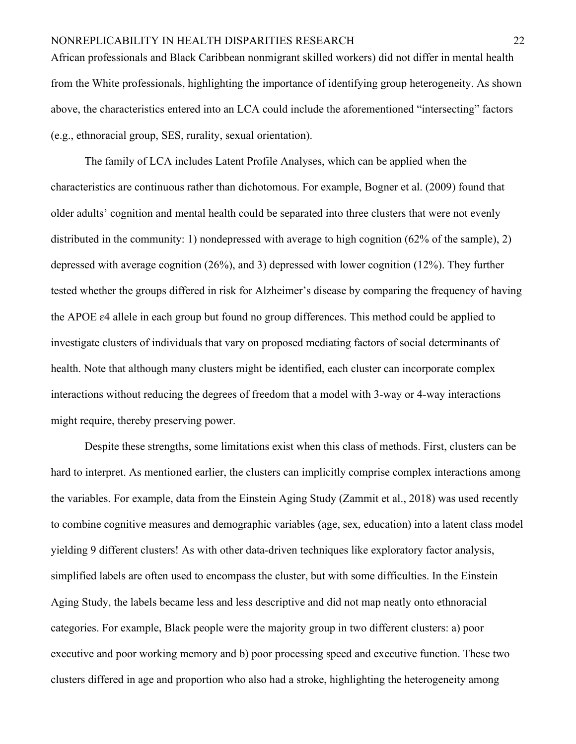African professionals and Black Caribbean nonmigrant skilled workers) did not differ in mental health from the White professionals, highlighting the importance of identifying group heterogeneity. As shown above, the characteristics entered into an LCA could include the aforementioned "intersecting" factors (e.g., ethnoracial group, SES, rurality, sexual orientation).

The family of LCA includes Latent Profile Analyses, which can be applied when the characteristics are continuous rather than dichotomous. For example, Bogner et al. (2009) found that older adults' cognition and mental health could be separated into three clusters that were not evenly distributed in the community: 1) nondepressed with average to high cognition (62% of the sample), 2) depressed with average cognition (26%), and 3) depressed with lower cognition (12%). They further tested whether the groups differed in risk for Alzheimer's disease by comparing the frequency of having the APOE ɛ4 allele in each group but found no group differences. This method could be applied to investigate clusters of individuals that vary on proposed mediating factors of social determinants of health. Note that although many clusters might be identified, each cluster can incorporate complex interactions without reducing the degrees of freedom that a model with 3-way or 4-way interactions might require, thereby preserving power.

Despite these strengths, some limitations exist when this class of methods. First, clusters can be hard to interpret. As mentioned earlier, the clusters can implicitly comprise complex interactions among the variables. For example, data from the Einstein Aging Study (Zammit et al., 2018) was used recently to combine cognitive measures and demographic variables (age, sex, education) into a latent class model yielding 9 different clusters! As with other data-driven techniques like exploratory factor analysis, simplified labels are often used to encompass the cluster, but with some difficulties. In the Einstein Aging Study, the labels became less and less descriptive and did not map neatly onto ethnoracial categories. For example, Black people were the majority group in two different clusters: a) poor executive and poor working memory and b) poor processing speed and executive function. These two clusters differed in age and proportion who also had a stroke, highlighting the heterogeneity among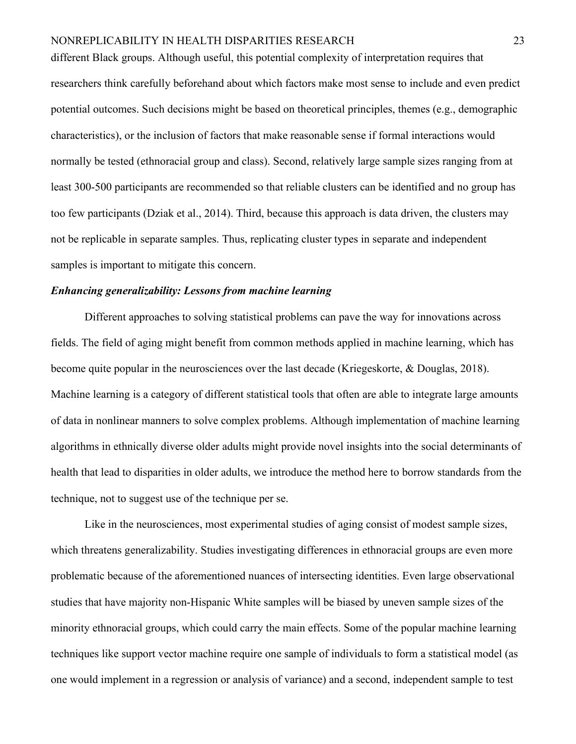different Black groups. Although useful, this potential complexity of interpretation requires that researchers think carefully beforehand about which factors make most sense to include and even predict potential outcomes. Such decisions might be based on theoretical principles, themes (e.g., demographic characteristics), or the inclusion of factors that make reasonable sense if formal interactions would normally be tested (ethnoracial group and class). Second, relatively large sample sizes ranging from at least 300-500 participants are recommended so that reliable clusters can be identified and no group has too few participants (Dziak et al., 2014). Third, because this approach is data driven, the clusters may not be replicable in separate samples. Thus, replicating cluster types in separate and independent samples is important to mitigate this concern.

# *Enhancing generalizability: Lessons from machine learning*

Different approaches to solving statistical problems can pave the way for innovations across fields. The field of aging might benefit from common methods applied in machine learning, which has become quite popular in the neurosciences over the last decade (Kriegeskorte, & Douglas, 2018). Machine learning is a category of different statistical tools that often are able to integrate large amounts of data in nonlinear manners to solve complex problems. Although implementation of machine learning algorithms in ethnically diverse older adults might provide novel insights into the social determinants of health that lead to disparities in older adults, we introduce the method here to borrow standards from the technique, not to suggest use of the technique per se.

Like in the neurosciences, most experimental studies of aging consist of modest sample sizes, which threatens generalizability. Studies investigating differences in ethnoracial groups are even more problematic because of the aforementioned nuances of intersecting identities. Even large observational studies that have majority non-Hispanic White samples will be biased by uneven sample sizes of the minority ethnoracial groups, which could carry the main effects. Some of the popular machine learning techniques like support vector machine require one sample of individuals to form a statistical model (as one would implement in a regression or analysis of variance) and a second, independent sample to test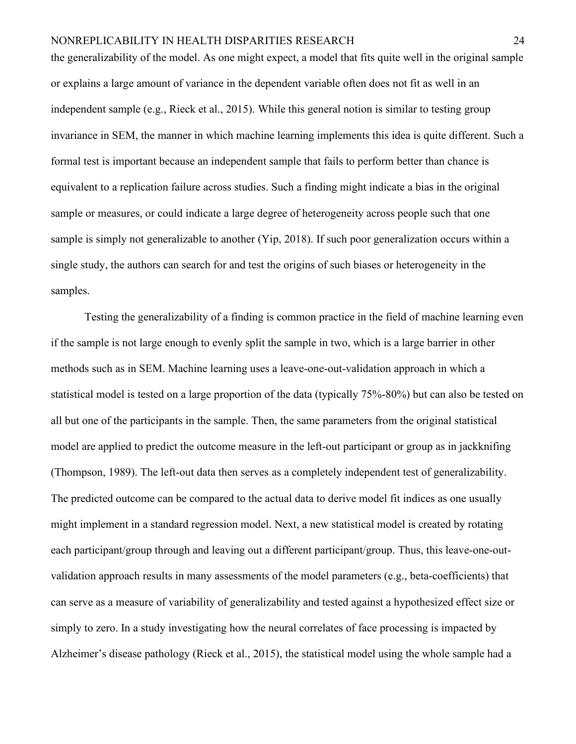the generalizability of the model. As one might expect, a model that fits quite well in the original sample or explains a large amount of variance in the dependent variable often does not fit as well in an independent sample (e.g., Rieck et al., 2015). While this general notion is similar to testing group invariance in SEM, the manner in which machine learning implements this idea is quite different. Such a formal test is important because an independent sample that fails to perform better than chance is equivalent to a replication failure across studies. Such a finding might indicate a bias in the original sample or measures, or could indicate a large degree of heterogeneity across people such that one sample is simply not generalizable to another (Yip, 2018). If such poor generalization occurs within a single study, the authors can search for and test the origins of such biases or heterogeneity in the samples.

Testing the generalizability of a finding is common practice in the field of machine learning even if the sample is not large enough to evenly split the sample in two, which is a large barrier in other methods such as in SEM. Machine learning uses a leave-one-out-validation approach in which a statistical model is tested on a large proportion of the data (typically 75%-80%) but can also be tested on all but one of the participants in the sample. Then, the same parameters from the original statistical model are applied to predict the outcome measure in the left-out participant or group as in jackknifing (Thompson, 1989). The left-out data then serves as a completely independent test of generalizability. The predicted outcome can be compared to the actual data to derive model fit indices as one usually might implement in a standard regression model. Next, a new statistical model is created by rotating each participant/group through and leaving out a different participant/group. Thus, this leave-one-outvalidation approach results in many assessments of the model parameters (e.g., beta-coefficients) that can serve as a measure of variability of generalizability and tested against a hypothesized effect size or simply to zero. In a study investigating how the neural correlates of face processing is impacted by Alzheimer's disease pathology (Rieck et al., 2015), the statistical model using the whole sample had a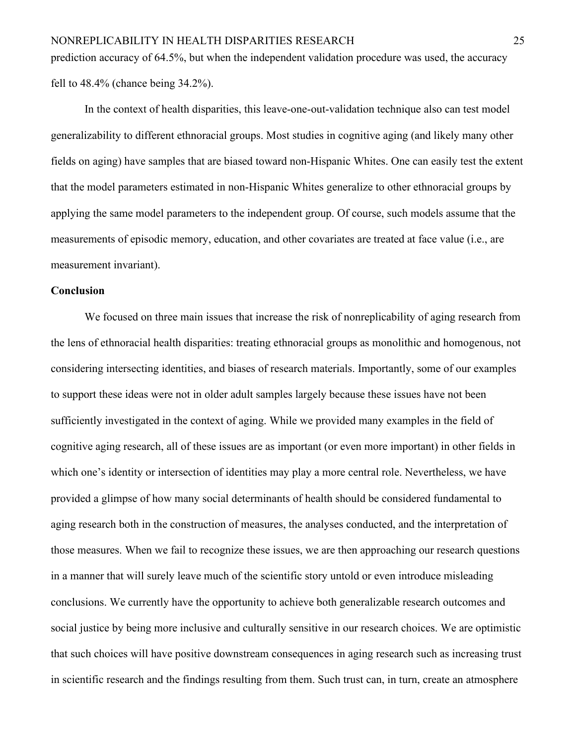prediction accuracy of 64.5%, but when the independent validation procedure was used, the accuracy fell to 48.4% (chance being 34.2%).

In the context of health disparities, this leave-one-out-validation technique also can test model generalizability to different ethnoracial groups. Most studies in cognitive aging (and likely many other fields on aging) have samples that are biased toward non-Hispanic Whites. One can easily test the extent that the model parameters estimated in non-Hispanic Whites generalize to other ethnoracial groups by applying the same model parameters to the independent group. Of course, such models assume that the measurements of episodic memory, education, and other covariates are treated at face value (i.e., are measurement invariant).

# **Conclusion**

We focused on three main issues that increase the risk of nonreplicability of aging research from the lens of ethnoracial health disparities: treating ethnoracial groups as monolithic and homogenous, not considering intersecting identities, and biases of research materials. Importantly, some of our examples to support these ideas were not in older adult samples largely because these issues have not been sufficiently investigated in the context of aging. While we provided many examples in the field of cognitive aging research, all of these issues are as important (or even more important) in other fields in which one's identity or intersection of identities may play a more central role. Nevertheless, we have provided a glimpse of how many social determinants of health should be considered fundamental to aging research both in the construction of measures, the analyses conducted, and the interpretation of those measures. When we fail to recognize these issues, we are then approaching our research questions in a manner that will surely leave much of the scientific story untold or even introduce misleading conclusions. We currently have the opportunity to achieve both generalizable research outcomes and social justice by being more inclusive and culturally sensitive in our research choices. We are optimistic that such choices will have positive downstream consequences in aging research such as increasing trust in scientific research and the findings resulting from them. Such trust can, in turn, create an atmosphere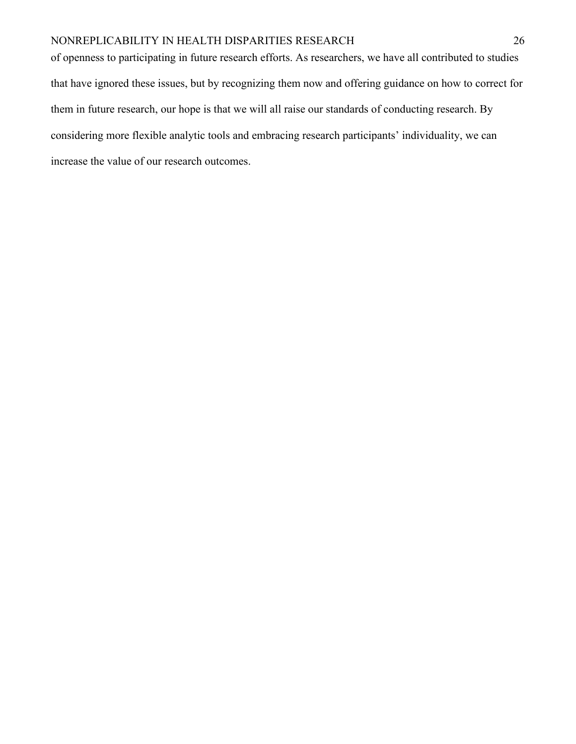of openness to participating in future research efforts. As researchers, we have all contributed to studies that have ignored these issues, but by recognizing them now and offering guidance on how to correct for them in future research, our hope is that we will all raise our standards of conducting research. By considering more flexible analytic tools and embracing research participants' individuality, we can increase the value of our research outcomes.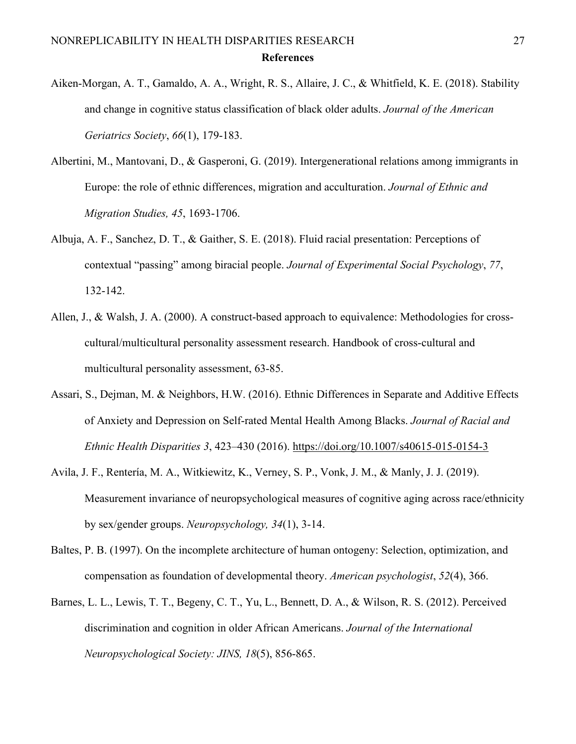- Aiken‐Morgan, A. T., Gamaldo, A. A., Wright, R. S., Allaire, J. C., & Whitfield, K. E. (2018). Stability and change in cognitive status classification of black older adults. *Journal of the American Geriatrics Society*, *66*(1), 179-183.
- Albertini, M., Mantovani, D., & Gasperoni, G. (2019). Intergenerational relations among immigrants in Europe: the role of ethnic differences, migration and acculturation. *Journal of Ethnic and Migration Studies, 45*, 1693-1706.
- Albuja, A. F., Sanchez, D. T., & Gaither, S. E. (2018). Fluid racial presentation: Perceptions of contextual "passing" among biracial people. *Journal of Experimental Social Psychology*, *77*, 132-142.
- Allen, J., & Walsh, J. A. (2000). A construct-based approach to equivalence: Methodologies for crosscultural/multicultural personality assessment research. Handbook of cross-cultural and multicultural personality assessment, 63-85.
- Assari, S., Dejman, M. & Neighbors, H.W. (2016). Ethnic Differences in Separate and Additive Effects of Anxiety and Depression on Self-rated Mental Health Among Blacks. *Journal of Racial and Ethnic Health Disparities 3*, 423–430 (2016).<https://doi.org/10.1007/s40615-015-0154-3>
- Avila, J. F., Rentería, M. A., Witkiewitz, K., Verney, S. P., Vonk, J. M., & Manly, J. J. (2019). Measurement invariance of neuropsychological measures of cognitive aging across race/ethnicity by sex/gender groups. *Neuropsychology, 34*(1), 3-14.
- Baltes, P. B. (1997). On the incomplete architecture of human ontogeny: Selection, optimization, and compensation as foundation of developmental theory. *American psychologist*, *52*(4), 366.
- Barnes, L. L., Lewis, T. T., Begeny, C. T., Yu, L., Bennett, D. A., & Wilson, R. S. (2012). Perceived discrimination and cognition in older African Americans. *Journal of the International Neuropsychological Society: JINS, 18*(5), 856-865.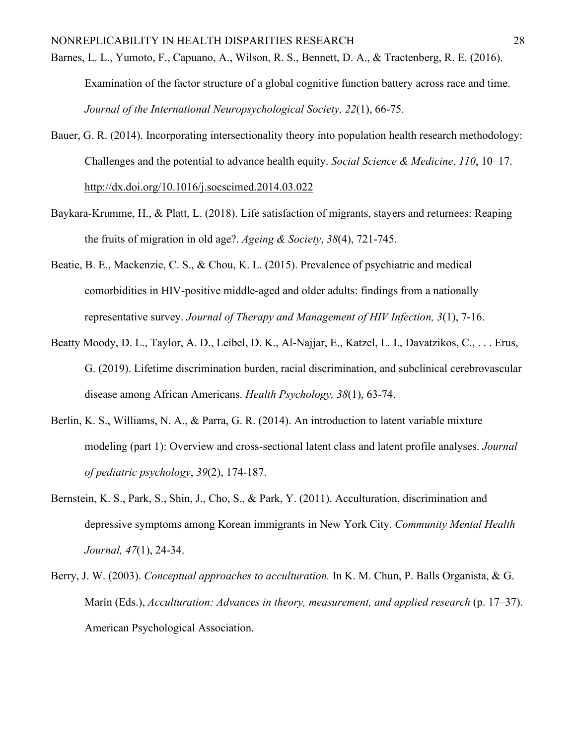- Barnes, L. L., Yumoto, F., Capuano, A., Wilson, R. S., Bennett, D. A., & Tractenberg, R. E. (2016). Examination of the factor structure of a global cognitive function battery across race and time. *Journal of the International Neuropsychological Society, 22*(1), 66-75.
- Bauer, G. R. (2014). Incorporating intersectionality theory into population health research methodology: Challenges and the potential to advance health equity. *Social Science & Medicine*, *110*, 10–17[.](https://doi.org/10.1016/j.socscimed.2014.03.022) [http://dx.doi.org/10.1016/j.socscimed.2014.03.022](https://doi.org/10.1016/j.socscimed.2014.03.022)
- Baykara-Krumme, H., & Platt, L. (2018). Life satisfaction of migrants, stayers and returnees: Reaping the fruits of migration in old age?. *Ageing & Society*, *38*(4), 721-745.
- Beatie, B. E., Mackenzie, C. S., & Chou, K. L. (2015). Prevalence of psychiatric and medical comorbidities in HIV-positive middle-aged and older adults: findings from a nationally representative survey. *Journal of Therapy and Management of HIV Infection, 3*(1), 7-16.
- Beatty Moody, D. L., Taylor, A. D., Leibel, D. K., Al-Najjar, E., Katzel, L. I., Davatzikos, C., . . . Erus, G. (2019). Lifetime discrimination burden, racial discrimination, and subclinical cerebrovascular disease among African Americans. *Health Psychology, 38*(1), 63-74.
- Berlin, K. S., Williams, N. A., & Parra, G. R. (2014). An introduction to latent variable mixture modeling (part 1): Overview and cross-sectional latent class and latent profile analyses. *Journal of pediatric psychology*, *39*(2), 174-187.
- Bernstein, K. S., Park, S., Shin, J., Cho, S., & Park, Y. (2011). Acculturation, discrimination and depressive symptoms among Korean immigrants in New York City. *Community Mental Health Journal, 47*(1), 24-34.
- Berry, J. W. (2003). *Conceptual approaches to acculturation.* In K. M. Chun, P. Balls Organista, & G. Marín (Eds.), *Acculturation: Advances in theory, measurement, and applied research* (p. 17–37). American Psychological Association.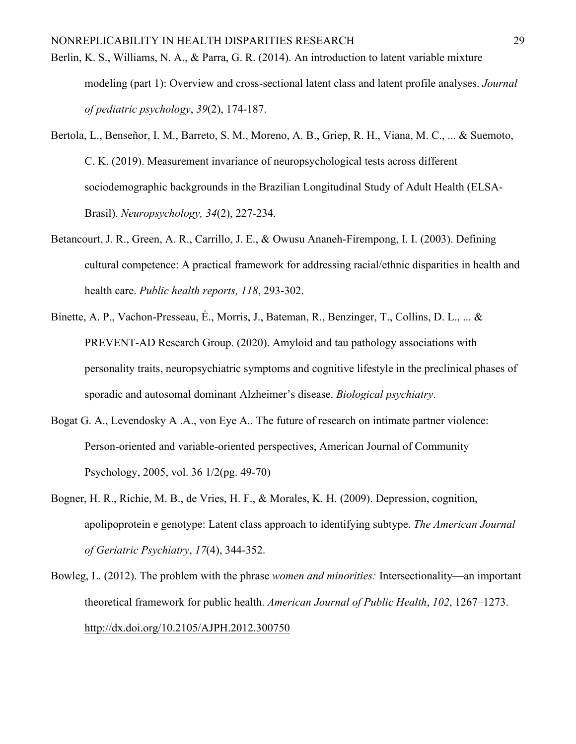- Berlin, K. S., Williams, N. A., & Parra, G. R. (2014). An introduction to latent variable mixture modeling (part 1): Overview and cross-sectional latent class and latent profile analyses. *Journal of pediatric psychology*, *39*(2), 174-187.
- Bertola, L., Benseñor, I. M., Barreto, S. M., Moreno, A. B., Griep, R. H., Viana, M. C., ... & Suemoto, C. K. (2019). Measurement invariance of neuropsychological tests across different sociodemographic backgrounds in the Brazilian Longitudinal Study of Adult Health (ELSA-Brasil). *Neuropsychology, 34*(2), 227-234.
- Betancourt, J. R., Green, A. R., Carrillo, J. E., & Owusu Ananeh-Firempong, I. I. (2003). Defining cultural competence: A practical framework for addressing racial/ethnic disparities in health and health care. *Public health reports, 118*, 293-302.
- Binette, A. P., Vachon-Presseau, É., Morris, J., Bateman, R., Benzinger, T., Collins, D. L., ... & PREVENT-AD Research Group. (2020). Amyloid and tau pathology associations with personality traits, neuropsychiatric symptoms and cognitive lifestyle in the preclinical phases of sporadic and autosomal dominant Alzheimer's disease. *Biological psychiatry*.
- Bogat G. A., Levendosky A .A., von Eye A.. The future of research on intimate partner violence: Person-oriented and variable-oriented perspectives, American Journal of Community Psychology, 2005, vol. 36 1/2(pg. 49-70)
- Bogner, H. R., Richie, M. B., de Vries, H. F., & Morales, K. H. (2009). Depression, cognition, apolipoprotein e genotype: Latent class approach to identifying subtype. *The American Journal of Geriatric Psychiatry*, *17*(4), 344-352.
- Bowleg, L. (2012). The problem with the phrase *women and minorities:* Intersectionality—an important theoretical framework for public health. *American Journal of Public Health*, *102*, 1267–1273[.](https://doi.org/10.2105/AJPH.2012.300750) [http://dx.doi.org/10.2105/AJPH.2012.300750](https://doi.org/10.2105/AJPH.2012.300750)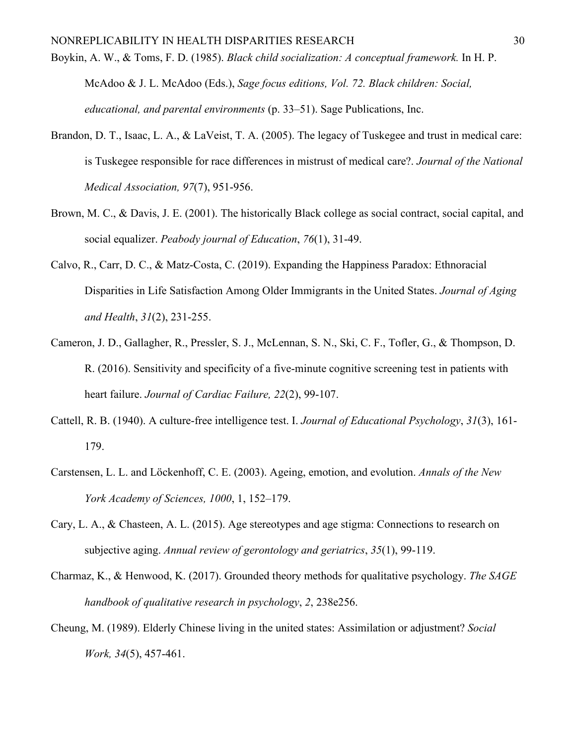Boykin, A. W., & Toms, F. D. (1985). *Black child socialization: A conceptual framework.* In H. P.

McAdoo & J. L. McAdoo (Eds.), *Sage focus editions, Vol. 72. Black children: Social, educational, and parental environments* (p. 33–51). Sage Publications, Inc.

- Brandon, D. T., Isaac, L. A., & LaVeist, T. A. (2005). The legacy of Tuskegee and trust in medical care: is Tuskegee responsible for race differences in mistrust of medical care?. *Journal of the National Medical Association, 97*(7), 951-956.
- Brown, M. C., & Davis, J. E. (2001). The historically Black college as social contract, social capital, and social equalizer. *Peabody journal of Education*, *76*(1), 31-49.
- Calvo, R., Carr, D. C., & Matz-Costa, C. (2019). Expanding the Happiness Paradox: Ethnoracial Disparities in Life Satisfaction Among Older Immigrants in the United States. *Journal of Aging and Health*, *31*(2), 231-255.
- Cameron, J. D., Gallagher, R., Pressler, S. J., McLennan, S. N., Ski, C. F., Tofler, G., & Thompson, D. R. (2016). Sensitivity and specificity of a five-minute cognitive screening test in patients with heart failure. *Journal of Cardiac Failure, 22*(2), 99-107.
- Cattell, R. B. (1940). A culture-free intelligence test. I. *Journal of Educational Psychology*, *31*(3), 161- 179.
- Carstensen, L. L. and Löckenhoff, C. E. (2003). Ageing, emotion, and evolution. *Annals of the New York Academy of Sciences, 1000*, 1, 152–179.
- Cary, L. A., & Chasteen, A. L. (2015). Age stereotypes and age stigma: Connections to research on subjective aging. *Annual review of gerontology and geriatrics*, *35*(1), 99-119.
- Charmaz, K., & Henwood, K. (2017). Grounded theory methods for qualitative psychology. *The SAGE handbook of qualitative research in psychology*, *2*, 238e256.
- Cheung, M. (1989). Elderly Chinese living in the united states: Assimilation or adjustment? *Social Work, 34*(5), 457-461.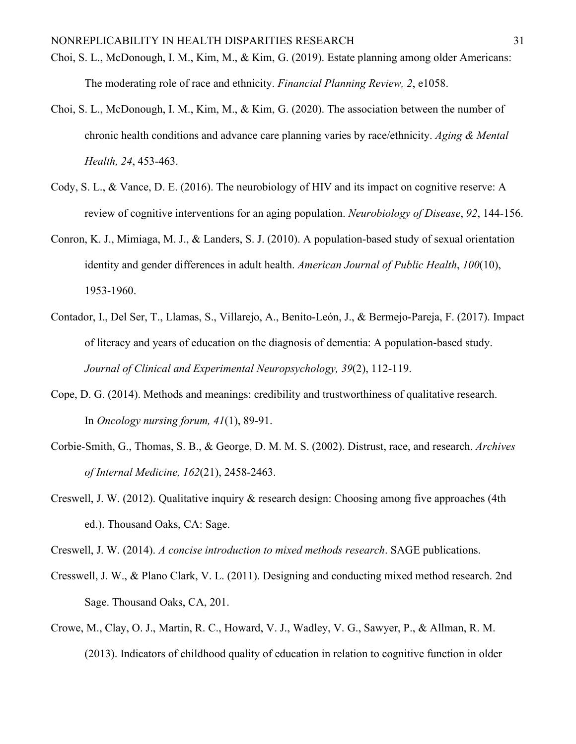- Choi, S. L., McDonough, I. M., Kim, M., & Kim, G. (2019). Estate planning among older Americans: The moderating role of race and ethnicity. *Financial Planning Review, 2*, e1058.
- Choi, S. L., McDonough, I. M., Kim, M., & Kim, G. (2020). The association between the number of chronic health conditions and advance care planning varies by race/ethnicity. *Aging & Mental Health, 24*, 453-463.
- Cody, S. L., & Vance, D. E. (2016). The neurobiology of HIV and its impact on cognitive reserve: A review of cognitive interventions for an aging population. *Neurobiology of Disease*, *92*, 144-156.
- Conron, K. J., Mimiaga, M. J., & Landers, S. J. (2010). A population-based study of sexual orientation identity and gender differences in adult health. *American Journal of Public Health*, *100*(10), 1953-1960.
- Contador, I., Del Ser, T., Llamas, S., Villarejo, A., Benito-León, J., & Bermejo-Pareja, F. (2017). Impact of literacy and years of education on the diagnosis of dementia: A population-based study. *Journal of Clinical and Experimental Neuropsychology, 39*(2), 112-119.
- Cope, D. G. (2014). Methods and meanings: credibility and trustworthiness of qualitative research. In *Oncology nursing forum, 41*(1), 89-91.
- Corbie-Smith, G., Thomas, S. B., & George, D. M. M. S. (2002). Distrust, race, and research. *Archives of Internal Medicine, 162*(21), 2458-2463.
- Creswell, J. W. (2012). Qualitative inquiry & research design: Choosing among five approaches (4th ed.). Thousand Oaks, CA: Sage.

Creswell, J. W. (2014). *A concise introduction to mixed methods research*. SAGE publications.

- Cresswell, J. W., & Plano Clark, V. L. (2011). Designing and conducting mixed method research. 2nd Sage. Thousand Oaks, CA, 201.
- Crowe, M., Clay, O. J., Martin, R. C., Howard, V. J., Wadley, V. G., Sawyer, P., & Allman, R. M. (2013). Indicators of childhood quality of education in relation to cognitive function in older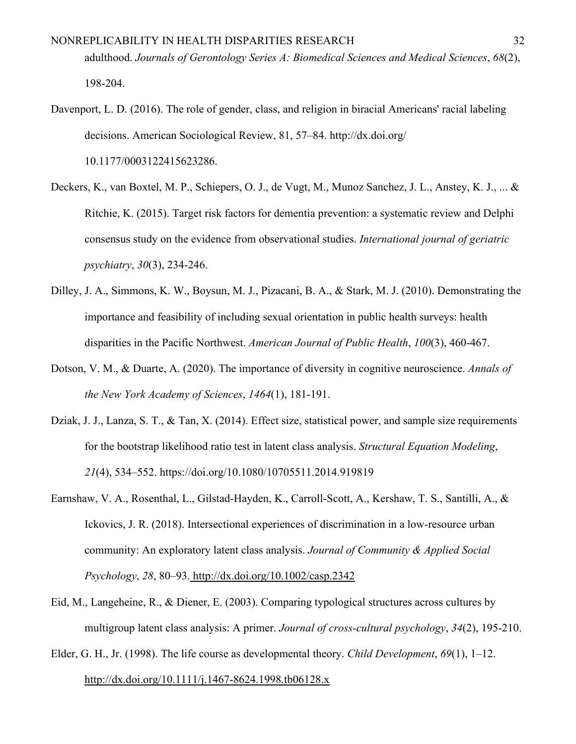- Davenport, L. D. (2016). The role of gender, class, and religion in biracial Americans' racial labeling decisions. American Sociological Review, 81, 57–84. http://dx.doi.org/ 10.1177/0003122415623286.
- Deckers, K., van Boxtel, M. P., Schiepers, O. J., de Vugt, M., Munoz Sanchez, J. L., Anstey, K. J., ... & Ritchie, K. (2015). Target risk factors for dementia prevention: a systematic review and Delphi consensus study on the evidence from observational studies. *International journal of geriatric psychiatry*, *30*(3), 234-246.
- Dilley, J. A., Simmons, K. W., Boysun, M. J., Pizacani, B. A., & Stark, M. J. (2010). Demonstrating the importance and feasibility of including sexual orientation in public health surveys: health disparities in the Pacific Northwest. *American Journal of Public Health*, *100*(3), 460-467.
- Dotson, V. M., & Duarte, A. (2020). The importance of diversity in cognitive neuroscience. *Annals of the New York Academy of Sciences*, *1464*(1), 181-191.
- Dziak, J. J., Lanza, S. T., & Tan, X. (2014). Effect size, statistical power, and sample size requirements for the bootstrap likelihood ratio test in latent class analysis. *Structural Equation Modeling*, *21*(4), 534–552. https://doi.org/10.1080/10705511.2014.919819
- Earnshaw, V. A., Rosenthal, L., Gilstad-Hayden, K., Carroll-Scott, A., Kershaw, T. S., Santilli, A., & Ickovics, J. R. (2018). Intersectional experiences of discrimination in a low-resource urban community: An exploratory latent class analysis. *Journal of Community & Applied Social Psychology*, *28*, 80–93. <http://dx.doi.org/10.1002/casp.2342>
- Eid, M., Langeheine, R., & Diener, E. (2003). Comparing typological structures across cultures by multigroup latent class analysis: A primer. *Journal of cross-cultural psychology*, *34*(2), 195-210.
- Elder, G. H., Jr. (1998). The life course as developmental theory. *Child Development*, *69*(1), 1–12[.](https://doi.org/10.1111/j.1467-8624.1998.tb06128.x) <http://dx.doi.org/10.1111/j.1467-8624.1998.tb06128.x>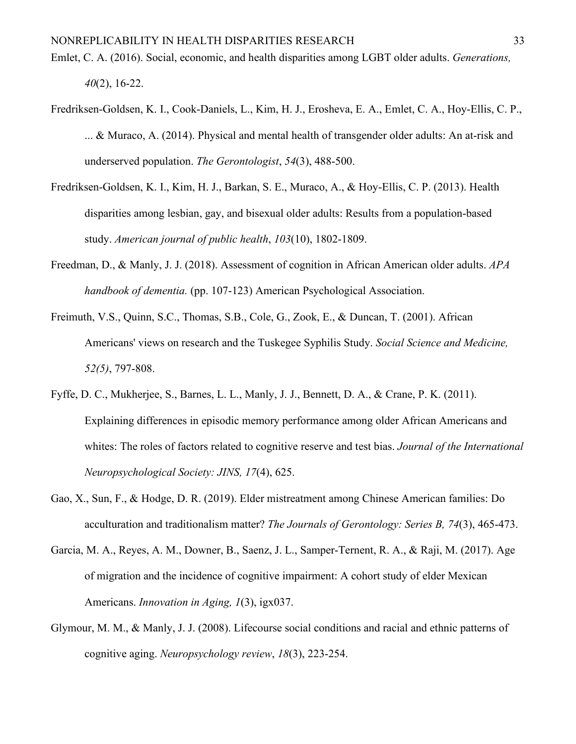- Emlet, C. A. (2016). Social, economic, and health disparities among LGBT older adults. *Generations, 40*(2), 16-22.
- Fredriksen-Goldsen, K. I., Cook-Daniels, L., Kim, H. J., Erosheva, E. A., Emlet, C. A., Hoy-Ellis, C. P., ... & Muraco, A. (2014). Physical and mental health of transgender older adults: An at-risk and underserved population. *The Gerontologist*, *54*(3), 488-500.
- Fredriksen-Goldsen, K. I., Kim, H. J., Barkan, S. E., Muraco, A., & Hoy-Ellis, C. P. (2013). Health disparities among lesbian, gay, and bisexual older adults: Results from a population-based study. *American journal of public health*, *103*(10), 1802-1809.
- Freedman, D., & Manly, J. J. (2018). Assessment of cognition in African American older adults. *APA handbook of dementia.* (pp. 107-123) American Psychological Association.
- Freimuth, V.S., Quinn, S.C., Thomas, S.B., Cole, G., Zook, E., & Duncan, T. (2001). African Americans' views on research and the Tuskegee Syphilis Study. *Social Science and Medicine, 52(5)*, 797-808.
- Fyffe, D. C., Mukherjee, S., Barnes, L. L., Manly, J. J., Bennett, D. A., & Crane, P. K. (2011). Explaining differences in episodic memory performance among older African Americans and whites: The roles of factors related to cognitive reserve and test bias. *Journal of the International Neuropsychological Society: JINS, 17*(4), 625.
- Gao, X., Sun, F., & Hodge, D. R. (2019). Elder mistreatment among Chinese American families: Do acculturation and traditionalism matter? *The Journals of Gerontology: Series B, 74*(3), 465-473.
- Garcia, M. A., Reyes, A. M., Downer, B., Saenz, J. L., Samper-Ternent, R. A., & Raji, M. (2017). Age of migration and the incidence of cognitive impairment: A cohort study of elder Mexican Americans. *Innovation in Aging, 1*(3), igx037.
- Glymour, M. M., & Manly, J. J. (2008). Lifecourse social conditions and racial and ethnic patterns of cognitive aging. *Neuropsychology review*, *18*(3), 223-254.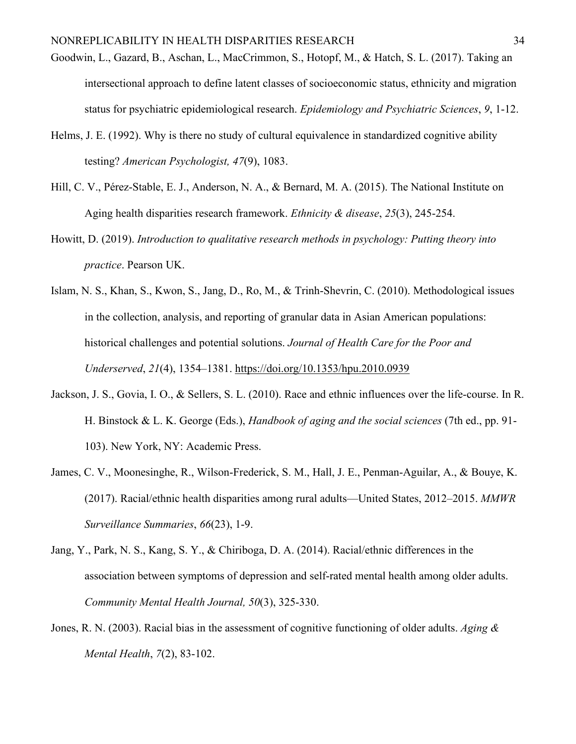- Goodwin, L., Gazard, B., Aschan, L., MacCrimmon, S., Hotopf, M., & Hatch, S. L. (2017). Taking an intersectional approach to define latent classes of socioeconomic status, ethnicity and migration status for psychiatric epidemiological research. *Epidemiology and Psychiatric Sciences*, *9*, 1-12.
- Helms, J. E. (1992). Why is there no study of cultural equivalence in standardized cognitive ability testing? *American Psychologist, 47*(9), 1083.
- Hill, C. V., Pérez-Stable, E. J., Anderson, N. A., & Bernard, M. A. (2015). The National Institute on Aging health disparities research framework. *Ethnicity & disease*, *25*(3), 245-254.
- Howitt, D. (2019). *Introduction to qualitative research methods in psychology: Putting theory into practice*. Pearson UK.
- Islam, N. S., Khan, S., Kwon, S., Jang, D., Ro, M., & Trinh-Shevrin, C. (2010). Methodological issues in the collection, analysis, and reporting of granular data in Asian American populations: historical challenges and potential solutions. *Journal of Health Care for the Poor and Underserved*, *21*(4), 1354–1381.<https://doi.org/10.1353/hpu.2010.0939>
- Jackson, J. S., Govia, I. O., & Sellers, S. L. (2010). Race and ethnic influences over the life-course. In R. H. Binstock & L. K. George (Eds.), *Handbook of aging and the social sciences* (7th ed., pp. 91- 103). New York, NY: Academic Press.
- James, C. V., Moonesinghe, R., Wilson-Frederick, S. M., Hall, J. E., Penman-Aguilar, A., & Bouye, K. (2017). Racial/ethnic health disparities among rural adults—United States, 2012–2015. *MMWR Surveillance Summaries*, *66*(23), 1-9.
- Jang, Y., Park, N. S., Kang, S. Y., & Chiriboga, D. A. (2014). Racial/ethnic differences in the association between symptoms of depression and self-rated mental health among older adults. *Community Mental Health Journal, 50*(3), 325-330.
- Jones, R. N. (2003). Racial bias in the assessment of cognitive functioning of older adults. *Aging & Mental Health*, *7*(2), 83-102.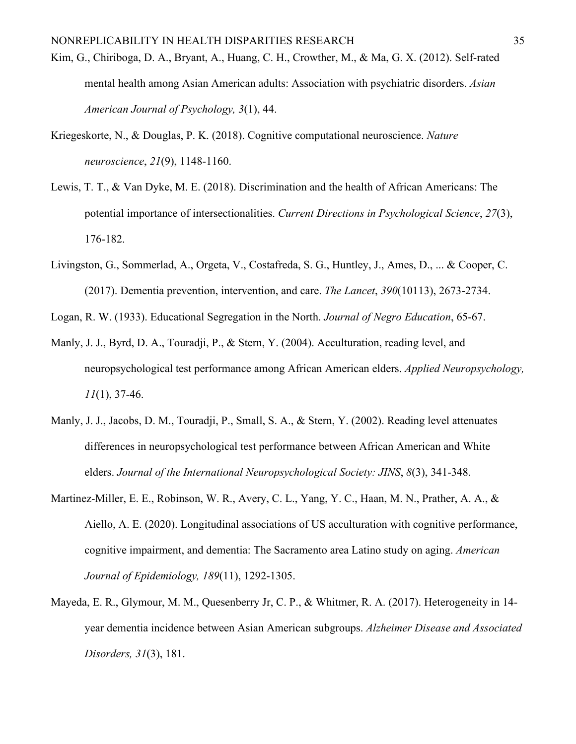- Kim, G., Chiriboga, D. A., Bryant, A., Huang, C. H., Crowther, M., & Ma, G. X. (2012). Self-rated mental health among Asian American adults: Association with psychiatric disorders. *Asian American Journal of Psychology, 3*(1), 44.
- Kriegeskorte, N., & Douglas, P. K. (2018). Cognitive computational neuroscience. *Nature neuroscience*, *21*(9), 1148-1160.
- Lewis, T. T., & Van Dyke, M. E. (2018). Discrimination and the health of African Americans: The potential importance of intersectionalities. *Current Directions in Psychological Science*, *27*(3), 176-182.
- Livingston, G., Sommerlad, A., Orgeta, V., Costafreda, S. G., Huntley, J., Ames, D., ... & Cooper, C. (2017). Dementia prevention, intervention, and care. *The Lancet*, *390*(10113), 2673-2734.
- Logan, R. W. (1933). Educational Segregation in the North. *Journal of Negro Education*, 65-67.
- Manly, J. J., Byrd, D. A., Touradji, P., & Stern, Y. (2004). Acculturation, reading level, and neuropsychological test performance among African American elders. *Applied Neuropsychology, 11*(1), 37-46.
- Manly, J. J., Jacobs, D. M., Touradji, P., Small, S. A., & Stern, Y. (2002). Reading level attenuates differences in neuropsychological test performance between African American and White elders. *Journal of the International Neuropsychological Society: JINS*, *8*(3), 341-348.
- Martinez-Miller, E. E., Robinson, W. R., Avery, C. L., Yang, Y. C., Haan, M. N., Prather, A. A., & Aiello, A. E. (2020). Longitudinal associations of US acculturation with cognitive performance, cognitive impairment, and dementia: The Sacramento area Latino study on aging. *American Journal of Epidemiology, 189*(11), 1292-1305.
- Mayeda, E. R., Glymour, M. M., Quesenberry Jr, C. P., & Whitmer, R. A. (2017). Heterogeneity in 14 year dementia incidence between Asian American subgroups. *Alzheimer Disease and Associated Disorders, 31*(3), 181.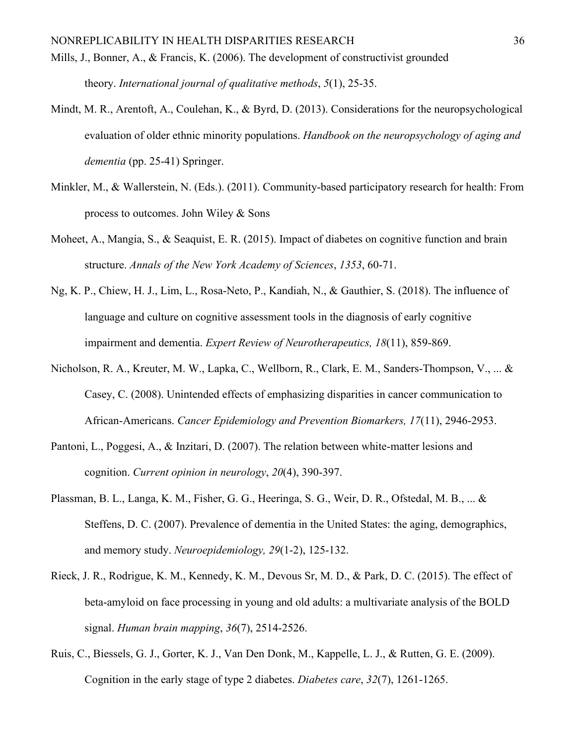- Mills, J., Bonner, A., & Francis, K. (2006). The development of constructivist grounded theory. *International journal of qualitative methods*, *5*(1), 25-35.
- Mindt, M. R., Arentoft, A., Coulehan, K., & Byrd, D. (2013). Considerations for the neuropsychological evaluation of older ethnic minority populations. *Handbook on the neuropsychology of aging and dementia* (pp. 25-41) Springer.
- Minkler, M., & Wallerstein, N. (Eds.). (2011). Community-based participatory research for health: From process to outcomes. John Wiley & Sons
- Moheet, A., Mangia, S., & Seaquist, E. R. (2015). Impact of diabetes on cognitive function and brain structure. *Annals of the New York Academy of Sciences*, *1353*, 60-71.
- Ng, K. P., Chiew, H. J., Lim, L., Rosa-Neto, P., Kandiah, N., & Gauthier, S. (2018). The influence of language and culture on cognitive assessment tools in the diagnosis of early cognitive impairment and dementia. *Expert Review of Neurotherapeutics, 18*(11), 859-869.
- Nicholson, R. A., Kreuter, M. W., Lapka, C., Wellborn, R., Clark, E. M., Sanders-Thompson, V., ... & Casey, C. (2008). Unintended effects of emphasizing disparities in cancer communication to African-Americans. *Cancer Epidemiology and Prevention Biomarkers, 17*(11), 2946-2953.
- Pantoni, L., Poggesi, A., & Inzitari, D. (2007). The relation between white-matter lesions and cognition. *Current opinion in neurology*, *20*(4), 390-397.
- Plassman, B. L., Langa, K. M., Fisher, G. G., Heeringa, S. G., Weir, D. R., Ofstedal, M. B., ... & Steffens, D. C. (2007). Prevalence of dementia in the United States: the aging, demographics, and memory study. *Neuroepidemiology, 29*(1-2), 125-132.
- Rieck, J. R., Rodrigue, K. M., Kennedy, K. M., Devous Sr, M. D., & Park, D. C. (2015). The effect of beta-amyloid on face processing in young and old adults: a multivariate analysis of the BOLD signal. *Human brain mapping*, *36*(7), 2514-2526.
- Ruis, C., Biessels, G. J., Gorter, K. J., Van Den Donk, M., Kappelle, L. J., & Rutten, G. E. (2009). Cognition in the early stage of type 2 diabetes. *Diabetes care*, *32*(7), 1261-1265.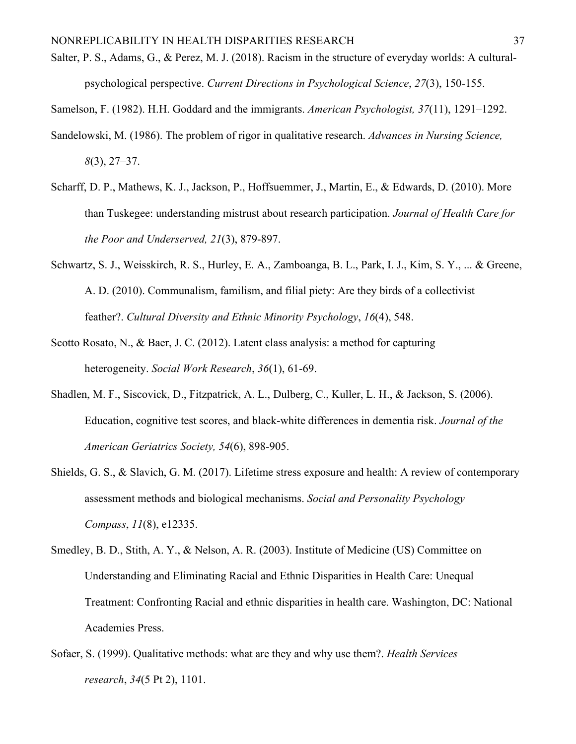- Salter, P. S., Adams, G., & Perez, M. J. (2018). Racism in the structure of everyday worlds: A culturalpsychological perspective. *Current Directions in Psychological Science*, *27*(3), 150-155.
- Samelson, F. (1982). H.H. Goddard and the immigrants. *American Psychologist, 37*(11), 1291–1292.
- Sandelowski, M. (1986). The problem of rigor in qualitative research. *Advances in Nursing Science, 8*(3), 27–37.
- Scharff, D. P., Mathews, K. J., Jackson, P., Hoffsuemmer, J., Martin, E., & Edwards, D. (2010). More than Tuskegee: understanding mistrust about research participation. *Journal of Health Care for the Poor and Underserved, 21*(3), 879-897.
- Schwartz, S. J., Weisskirch, R. S., Hurley, E. A., Zamboanga, B. L., Park, I. J., Kim, S. Y., ... & Greene, A. D. (2010). Communalism, familism, and filial piety: Are they birds of a collectivist feather?. *Cultural Diversity and Ethnic Minority Psychology*, *16*(4), 548.
- Scotto Rosato, N., & Baer, J. C. (2012). Latent class analysis: a method for capturing heterogeneity. *Social Work Research*, *36*(1), 61-69.
- Shadlen, M. F., Siscovick, D., Fitzpatrick, A. L., Dulberg, C., Kuller, L. H., & Jackson, S. (2006). Education, cognitive test scores, and black‐white differences in dementia risk. *Journal of the American Geriatrics Society, 54*(6), 898-905.
- Shields, G. S., & Slavich, G. M. (2017). Lifetime stress exposure and health: A review of contemporary assessment methods and biological mechanisms. *Social and Personality Psychology Compass*, *11*(8), e12335.
- Smedley, B. D., Stith, A. Y., & Nelson, A. R. (2003). Institute of Medicine (US) Committee on Understanding and Eliminating Racial and Ethnic Disparities in Health Care: Unequal Treatment: Confronting Racial and ethnic disparities in health care. Washington, DC: National Academies Press.
- Sofaer, S. (1999). Qualitative methods: what are they and why use them?. *Health Services research*, *34*(5 Pt 2), 1101.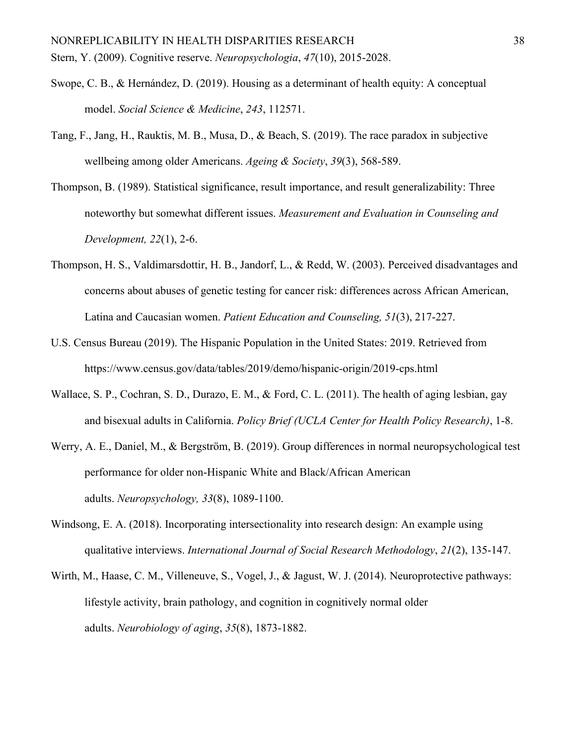- Swope, C. B., & Hernández, D. (2019). Housing as a determinant of health equity: A conceptual model. *Social Science & Medicine*, *243*, 112571.
- Tang, F., Jang, H., Rauktis, M. B., Musa, D., & Beach, S. (2019). The race paradox in subjective wellbeing among older Americans. *Ageing & Society*, *39*(3), 568-589.
- Thompson, B. (1989). Statistical significance, result importance, and result generalizability: Three noteworthy but somewhat different issues. *Measurement and Evaluation in Counseling and Development, 22*(1), 2-6.
- Thompson, H. S., Valdimarsdottir, H. B., Jandorf, L., & Redd, W. (2003). Perceived disadvantages and concerns about abuses of genetic testing for cancer risk: differences across African American, Latina and Caucasian women. *Patient Education and Counseling, 51*(3), 217-227.
- U.S. Census Bureau (2019). The Hispanic Population in the United States: 2019. Retrieved from https://www.census.gov/data/tables/2019/demo/hispanic-origin/2019-cps.html
- Wallace, S. P., Cochran, S. D., Durazo, E. M., & Ford, C. L. (2011). The health of aging lesbian, gay and bisexual adults in California. *Policy Brief (UCLA Center for Health Policy Research)*, 1-8.
- Werry, A. E., Daniel, M., & Bergström, B. (2019). Group differences in normal neuropsychological test performance for older non-Hispanic White and Black/African American adults. *Neuropsychology, 33*(8), 1089-1100.
- Windsong, E. A. (2018). Incorporating intersectionality into research design: An example using qualitative interviews. *International Journal of Social Research Methodology*, *21*(2), 135-147.
- Wirth, M., Haase, C. M., Villeneuve, S., Vogel, J., & Jagust, W. J. (2014). Neuroprotective pathways: lifestyle activity, brain pathology, and cognition in cognitively normal older adults. *Neurobiology of aging*, *35*(8), 1873-1882.